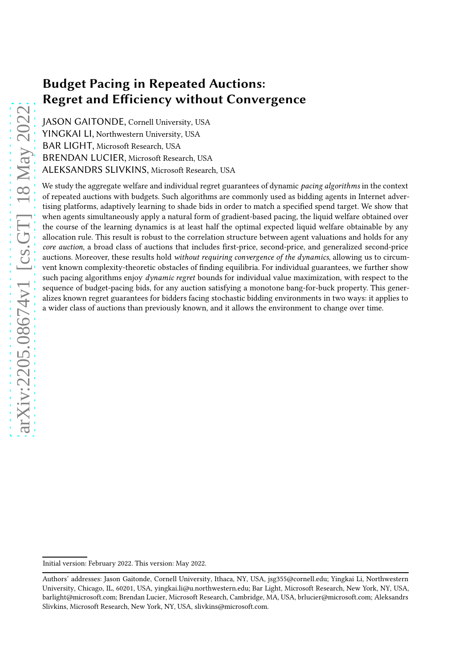JASON GAITONDE, Cornell University, USA YINGKAI LI, Northwestern University, USA BAR LIGHT, Microsoft Research, USA BRENDAN LUCIER, Microsoft Research, USA ALEKSANDRS SLIVKINS, Microsoft Research, USA

We study the aggregate welfare and individual regret guarantees of dynamic pacing algorithms in the context of repeated auctions with budgets. Such algorithms are commonly used as bidding agents in Internet advertising platforms, adaptively learning to shade bids in order to match a specified spend target. We show that when agents simultaneously apply a natural form of gradient-based pacing, the liquid welfare obtained over the course of the learning dynamics is at least half the optimal expected liquid welfare obtainable by any allocation rule. This result is robust to the correlation structure between agent valuations and holds for any core auction, a broad class of auctions that includes first-price, second-price, and generalized second-price auctions. Moreover, these results hold without requiring convergence of the dynamics, allowing us to circumvent known complexity-theoretic obstacles of finding equilibria. For individual guarantees, we further show such pacing algorithms enjoy *dynamic regret* bounds for individual value maximization, with respect to the sequence of budget-pacing bids, for any auction satisfying a monotone bang-for-buck property. This generalizes known regret guarantees for bidders facing stochastic bidding environments in two ways: it applies to a wider class of auctions than previously known, and it allows the environment to change over time.

Initial version: February 2022. This version: May 2022.

Authors' addresses: Jason Gaitonde, Cornell University, Ithaca, NY, USA, jsg355@cornell.edu; Yingkai Li, Northwestern University, Chicago, IL, 60201, USA, yingkai.li@u.northwestern.edu; Bar Light, Microsoft Research, New York, NY, USA, barlight@microsoft.com; Brendan Lucier, Microsoft Research, Cambridge, MA, USA, brlucier@microsoft.com; Aleksandrs Slivkins, Microsoft Research, New York, NY, USA, slivkins@microsoft.com.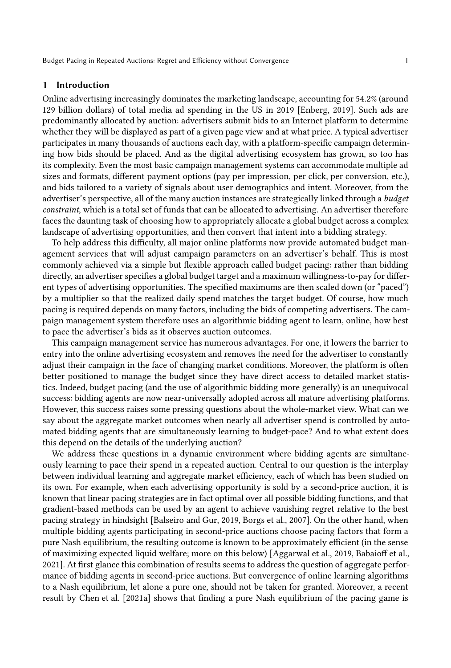# 1 Introduction

Online advertising increasingly dominates the marketing landscape, accounting for 54.2% (around 129 billion dollars) of total media ad spending in the US in 2019 [\[Enberg](#page-21-0), [2019\]](#page-21-0). Such ads are predominantly allocated by auction: advertisers submit bids to an Internet platform to determine whether they will be displayed as part of a given page view and at what price. A typical advertiser participates in many thousands of auctions each day, with a platform-specific campaign determining how bids should be placed. And as the digital advertising ecosystem has grown, so too has its complexity. Even the most basic campaign management systems can accommodate multiple ad sizes and formats, different payment options (pay per impression, per click, per conversion, etc.), and bids tailored to a variety of signals about user demographics and intent. Moreover, from the advertiser's perspective, all of the many auction instances are strategically linked through a budget constraint, which is a total set of funds that can be allocated to advertising. An advertiser therefore faces the daunting task of choosing how to appropriately allocate a global budget across a complex landscape of advertising opportunities, and then convert that intent into a bidding strategy.

To help address this difficulty, all major online platforms now provide automated budget management services that will adjust campaign parameters on an advertiser's behalf. This is most commonly achieved via a simple but flexible approach called budget pacing: rather than bidding directly, an advertiser specifies a global budget target and a maximum willingness-to-pay for different types of advertising opportunities. The specified maximums are then scaled down (or "paced") by a multiplier so that the realized daily spend matches the target budget. Of course, how much pacing is required depends on many factors, including the bids of competing advertisers. The campaign management system therefore uses an algorithmic bidding agent to learn, online, how best to pace the advertiser's bids as it observes auction outcomes.

This campaign management service has numerous advantages. For one, it lowers the barrier to entry into the online advertising ecosystem and removes the need for the advertiser to constantly adjust their campaign in the face of changing market conditions. Moreover, the platform is often better positioned to manage the budget since they have direct access to detailed market statistics. Indeed, budget pacing (and the use of algorithmic bidding more generally) is an unequivocal success: bidding agents are now near-universally adopted across all mature advertising platforms. However, this success raises some pressing questions about the whole-market view. What can we say about the aggregate market outcomes when nearly all advertiser spend is controlled by automated bidding agents that are simultaneously learning to budget-pace? And to what extent does this depend on the details of the underlying auction?

We address these questions in a dynamic environment where bidding agents are simultaneously learning to pace their spend in a repeated auction. Central to our question is the interplay between individual learning and aggregate market efficiency, each of which has been studied on its own. For example, when each advertising opportunity is sold by a second-price auction, it is known that linear pacing strategies are in fact optimal over all possible bidding functions, and that gradient-based methods can be used by an agent to achieve vanishing regret relative to the best pacing strategy in hindsight [\[Balseiro and Gur](#page-21-1), [2019](#page-21-1), Borgs et al., 2007]. On the other hand, when multiple bidding agents participating in second-price auctions choose pacing factors that form a pure Nash equilibrium, the resulting outcome is known to be approximately efficient (in the sense of maximizing expected liquid welfare; more on this below) [Aggarwal et al., 2019, Babaioff et al., 2021]. At first glance this combination of results seems to address the question of aggregate performance of bidding agents in second-price auctions. But convergence of online learning algorithms to a Nash equilibrium, let alone a pure one, should not be taken for granted. Moreover, a recent result by Chen et al. [2021a] shows that finding a pure Nash equilibrium of the pacing game is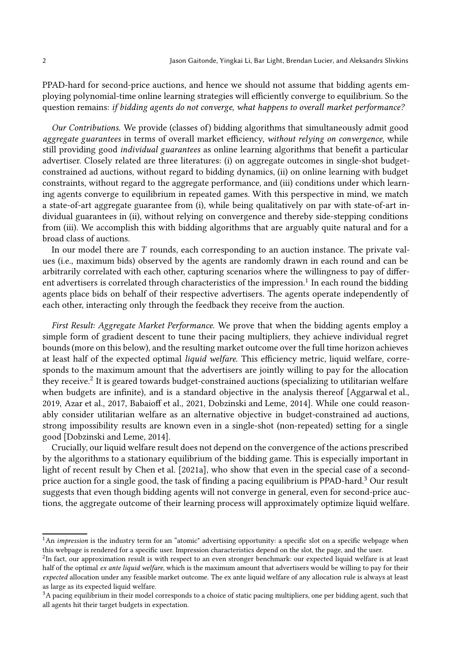PPAD-hard for second-price auctions, and hence we should not assume that bidding agents employing polynomial-time online learning strategies will efficiently converge to equilibrium. So the question remains: if bidding agents do not converge, what happens to overall market performance?

Our Contributions. We provide (classes of) bidding algorithms that simultaneously admit good aggregate guarantees in terms of overall market efficiency, without relying on convergence, while still providing good individual guarantees as online learning algorithms that benefit a particular advertiser. Closely related are three literatures: (i) on aggregate outcomes in single-shot budgetconstrained ad auctions, without regard to bidding dynamics, (ii) on online learning with budget constraints, without regard to the aggregate performance, and (iii) conditions under which learning agents converge to equilibrium in repeated games. With this perspective in mind, we match a state-of-art aggregate guarantee from (i), while being qualitatively on par with state-of-art individual guarantees in (ii), without relying on convergence and thereby side-stepping conditions from (iii). We accomplish this with bidding algorithms that are arguably quite natural and for a broad class of auctions.

In our model there are  $T$  rounds, each corresponding to an auction instance. The private values (i.e., maximum bids) observed by the agents are randomly drawn in each round and can be arbitrarily correlated with each other, capturing scenarios where the willingness to pay of different advertisers is correlated through characteristics of the impression. $^1$  $^1$  In each round the bidding agents place bids on behalf of their respective advertisers. The agents operate independently of each other, interacting only through the feedback they receive from the auction.

First Result: Aggregate Market Performance. We prove that when the bidding agents employ a simple form of gradient descent to tune their pacing multipliers, they achieve individual regret bounds (more on this below), and the resulting market outcome over the full time horizon achieves at least half of the expected optimal liquid welfare. This efficiency metric, liquid welfare, corresponds to the maximum amount that the advertisers are jointly willing to pay for the allocation they receive. $\rm{^2}$  $\rm{^2}$  $\rm{^2}$  It is geared towards budget-constrained auctions (specializing to utilitarian welfare when budgets are infinite), and is a standard objective in the analysis thereof [Aggarwal et al., 2019, Azar et al., 2017, Babaioff et al., 2021, Dobzinski and Leme, 2014]. While one could reasonably consider utilitarian welfare as an alternative objective in budget-constrained ad auctions, strong impossibility results are known even in a single-shot (non-repeated) setting for a single good [Dobzinski and Leme, 2014].

Crucially, our liquid welfare result does not depend on the convergence of the actions prescribed by the algorithms to a stationary equilibrium of the bidding game. This is especially important in light of recent result by Chen et al. [2021a], who show that even in the special case of a secondprice auction for a single good, the task of finding a pacing equilibrium is PPAD-hard.[3](#page-2-2) Our result suggests that even though bidding agents will not converge in general, even for second-price auctions, the aggregate outcome of their learning process will approximately optimize liquid welfare.

<span id="page-2-0"></span><sup>&</sup>lt;sup>1</sup>An *impression* is the industry term for an "atomic" advertising opportunity: a specific slot on a specific webpage when this webpage is rendered for a specific user. Impression characteristics depend on the slot, the page, and the user.

<span id="page-2-1"></span> ${}^{2}$ In fact, our approximation result is with respect to an even stronger benchmark: our expected liquid welfare is at least half of the optimal ex ante liquid welfare, which is the maximum amount that advertisers would be willing to pay for their expected allocation under any feasible market outcome. The ex ante liquid welfare of any allocation rule is always at least as large as its expected liquid welfare.

<span id="page-2-2"></span><sup>&</sup>lt;sup>3</sup>A pacing equilibrium in their model corresponds to a choice of static pacing multipliers, one per bidding agent, such that all agents hit their target budgets in expectation.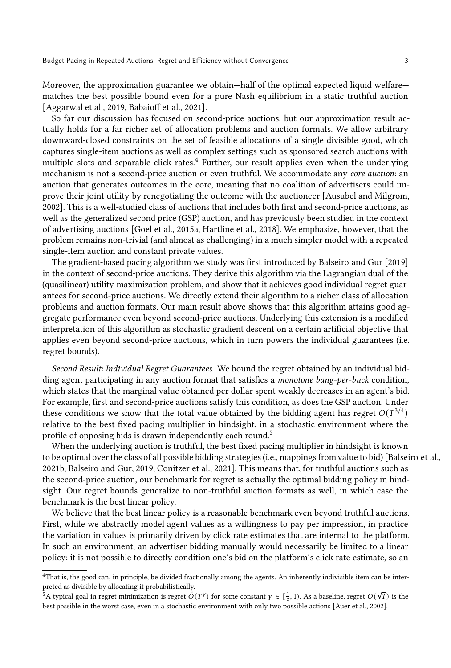Moreover, the approximation guarantee we obtain—half of the optimal expected liquid welfare matches the best possible bound even for a pure Nash equilibrium in a static truthful auction [Aggarwal et al., 2019, Babaioff et al., 2021].

So far our discussion has focused on second-price auctions, but our approximation result actually holds for a far richer set of allocation problems and auction formats. We allow arbitrary downward-closed constraints on the set of feasible allocations of a single divisible good, which captures single-item auctions as well as complex settings such as sponsored search auctions with multiple slots and separable click rates. $4$  Further, our result applies even when the underlying mechanism is not a second-price auction or even truthful. We accommodate any core auction: an auction that generates outcomes in the core, meaning that no coalition of advertisers could improve their joint utility by renegotiating the outcome with the auctioneer [\[Ausubel and Milgrom](#page-21-2), [2002\]](#page-21-2). This is a well-studied class of auctions that includes both first and second-price auctions, as well as the generalized second price (GSP) auction, and has previously been studied in the context of advertising auctions [\[Goel et al., 2015a,](#page-21-3) [Hartline et al.](#page-22-0), [2018\]](#page-22-0). We emphasize, however, that the problem remains non-trivial (and almost as challenging) in a much simpler model with a repeated single-item auction and constant private values.

The gradient-based pacing algorithm we study was first introduced by [Balseiro and Gur \[2019\]](#page-21-1) in the context of second-price auctions. They derive this algorithm via the Lagrangian dual of the (quasilinear) utility maximization problem, and show that it achieves good individual regret guarantees for second-price auctions. We directly extend their algorithm to a richer class of allocation problems and auction formats. Our main result above shows that this algorithm attains good aggregate performance even beyond second-price auctions. Underlying this extension is a modified interpretation of this algorithm as stochastic gradient descent on a certain artificial objective that applies even beyond second-price auctions, which in turn powers the individual guarantees (i.e. regret bounds).

Second Result: Individual Regret Guarantees. We bound the regret obtained by an individual bidding agent participating in any auction format that satisfies a monotone bang-per-buck condition, which states that the marginal value obtained per dollar spent weakly decreases in an agent's bid. For example, first and second-price auctions satisfy this condition, as does the GSP auction. Under these conditions we show that the total value obtained by the bidding agent has regret  $O(T^{3/4})$ relative to the best fixed pacing multiplier in hindsight, in a stochastic environment where the profile of opposing bids is drawn independently each round.<sup>[5](#page-3-1)</sup>

When the underlying auction is truthful, the best fixed pacing multiplier in hindsight is known to be optimal over the class of all possible bidding strategies (i.e., mappings from value to bid) [\[Balseiro et al.](#page-21-4), [2021b](#page-21-4), [Balseiro and Gur](#page-21-1), [2019](#page-21-1), [Conitzer et al., 2021\]](#page-21-5). This means that, for truthful auctions such as the second-price auction, our benchmark for regret is actually the optimal bidding policy in hindsight. Our regret bounds generalize to non-truthful auction formats as well, in which case the benchmark is the best linear policy.

We believe that the best linear policy is a reasonable benchmark even beyond truthful auctions. First, while we abstractly model agent values as a willingness to pay per impression, in practice the variation in values is primarily driven by click rate estimates that are internal to the platform. In such an environment, an advertiser bidding manually would necessarily be limited to a linear policy: it is not possible to directly condition one's bid on the platform's click rate estimate, so an

<sup>4</sup>That is, the good can, in principle, be divided fractionally among the agents. An inherently indivisible item can be interpreted as divisible by allocating it probabilistically.

<span id="page-3-1"></span><span id="page-3-0"></span> $\int_{0}^{5}$ A typical goal in regret minimization is regret  $\tilde{O}(T^{\gamma})$  for some constant  $\gamma \in [\frac{1}{2}, 1)$ . As a baseline, regret  $O(\sqrt{T})$  is the best possible in the worst case, even in a stochastic environment with only two possible actions [\[Auer et al.](#page-21-6), [2002\]](#page-21-6).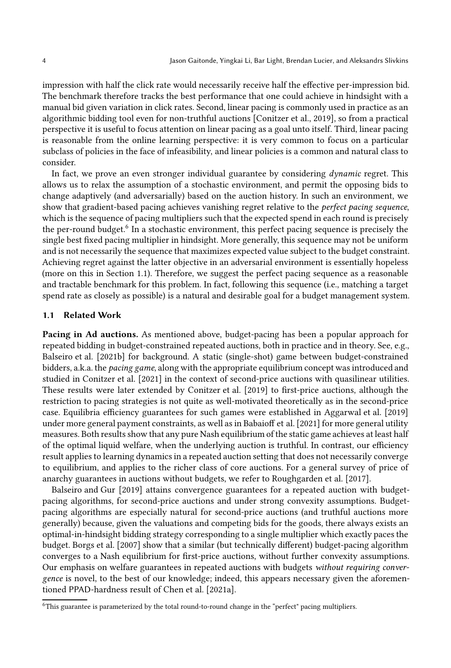impression with half the click rate would necessarily receive half the effective per-impression bid. The benchmark therefore tracks the best performance that one could achieve in hindsight with a manual bid given variation in click rates. Second, linear pacing is commonly used in practice as an algorithmic bidding tool even for non-truthful auctions [\[Conitzer et al.](#page-21-7), [2019\]](#page-21-7), so from a practical perspective it is useful to focus attention on linear pacing as a goal unto itself. Third, linear pacing is reasonable from the online learning perspective: it is very common to focus on a particular subclass of policies in the face of infeasibility, and linear policies is a common and natural class to consider.

In fact, we prove an even stronger individual guarantee by considering *dynamic* regret. This allows us to relax the assumption of a stochastic environment, and permit the opposing bids to change adaptively (and adversarially) based on the auction history. In such an environment, we show that gradient-based pacing achieves vanishing regret relative to the perfect pacing sequence, which is the sequence of pacing multipliers such that the expected spend in each round is precisely the per-round budget.<sup>[6](#page-4-0)</sup> In a stochastic environment, this perfect pacing sequence is precisely the single best fixed pacing multiplier in hindsight. More generally, this sequence may not be uniform and is not necessarily the sequence that maximizes expected value subject to the budget constraint. Achieving regret against the latter objective in an adversarial environment is essentially hopeless (more on this in Section [1.1\)](#page-4-1). Therefore, we suggest the perfect pacing sequence as a reasonable and tractable benchmark for this problem. In fact, following this sequence (i.e., matching a target spend rate as closely as possible) is a natural and desirable goal for a budget management system.

# <span id="page-4-1"></span>1.1 Related Work

Pacing in Ad auctions. As mentioned above, budget-pacing has been a popular approach for repeated bidding in budget-constrained repeated auctions, both in practice and in theory. See, e.g., [Balseiro et al. \[2021b](#page-21-4)] for background. A static (single-shot) game between budget-constrained bidders, a.k.a. the pacing game, along with the appropriate equilibrium concept was introduced and studied in [Conitzer et al. \[2021](#page-21-5)] in the context of second-price auctions with quasilinear utilities. These results were later extended by [Conitzer et al. \[2019\]](#page-21-7) to first-price auctions, although the restriction to pacing strategies is not quite as well-motivated theoretically as in the second-price case. Equilibria efficiency guarantees for such games were established in Aggarwal et al. [2019] under more general payment constraints, as well as in Babaioff et al. [2021] for more general utility measures. Both results show that any pure Nash equilibrium of the static game achieves at least half of the optimal liquid welfare, when the underlying auction is truthful. In contrast, our efficiency result applies to learning dynamics in a repeated auction setting that does not necessarily converge to equilibrium, and applies to the richer class of core auctions. For a general survey of price of anarchy guarantees in auctions without budgets, we refer to Roughgarden et al. [2017].

[Balseiro and Gur \[2019](#page-21-1)] attains convergence guarantees for a repeated auction with budgetpacing algorithms, for second-price auctions and under strong convexity assumptions. Budgetpacing algorithms are especially natural for second-price auctions (and truthful auctions more generally) because, given the valuations and competing bids for the goods, there always exists an optimal-in-hindsight bidding strategy corresponding to a single multiplier which exactly paces the budget. Borgs et al. [2007] show that a similar (but technically different) budget-pacing algorithm converges to a Nash equilibrium for first-price auctions, without further convexity assumptions. Our emphasis on welfare guarantees in repeated auctions with budgets without requiring convergence is novel, to the best of our knowledge; indeed, this appears necessary given the aforementioned PPAD-hardness result of Chen et al. [2021a].

<span id="page-4-0"></span><sup>6</sup>This guarantee is parameterized by the total round-to-round change in the "perfect" pacing multipliers.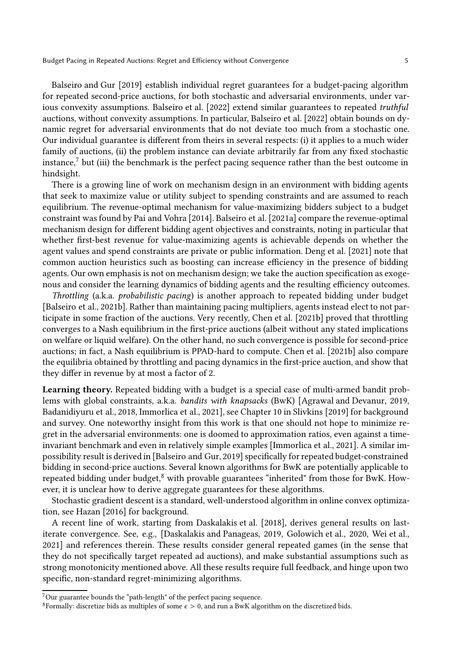[Balseiro and Gur \[2019\]](#page-21-1) establish individual regret guarantees for a budget-pacing algorithm for repeated second-price auctions, for both stochastic and adversarial environments, under various convexity assumptions. [Balseiro et al. \[2022\]](#page-21-8) extend similar guarantees to repeated truthful auctions, without convexity assumptions. In particular, [Balseiro et al. \[2022\]](#page-21-8) obtain bounds on dynamic regret for adversarial environments that do not deviate too much from a stochastic one. Our individual guarantee is different from theirs in several respects: (i) it applies to a much wider family of auctions, (ii) the problem instance can deviate arbitrarily far from any fixed stochastic instance,[7](#page-5-0) but (iii) the benchmark is the perfect pacing sequence rather than the best outcome in hindsight.

There is a growing line of work on mechanism design in an environment with bidding agents that seek to maximize value or utility subject to spending constraints and are assumed to reach equilibrium. The revenue-optimal mechanism for value-maximizing bidders subject to a budget constraint was found by [Pai and Vohra \[2014](#page-22-1)]. [Balseiro et al. \[2021a](#page-21-9)] compare the revenue-optimal mechanism design for different bidding agent objectives and constraints, noting in particular that whether first-best revenue for value-maximizing agents is achievable depends on whether the agent values and spend constraints are private or public information. [Deng et al. \[2021\]](#page-21-10) note that common auction heuristics such as boosting can increase efficiency in the presence of bidding agents. Our own emphasis is not on mechanism design; we take the auction specification as exogenous and consider the learning dynamics of bidding agents and the resulting efficiency outcomes.

Throttling (a.k.a. probabilistic pacing) is another approach to repeated bidding under budget [\[Balseiro et al.](#page-21-4), [2021b\]](#page-21-4). Rather than maintaining pacing multipliers, agents instead elect to not participate in some fraction of the auctions. Very recently, Chen et al. [2021b] proved that throttling converges to a Nash equilibrium in the first-price auctions (albeit without any stated implications on welfare or liquid welfare). On the other hand, no such convergence is possible for second-price auctions; in fact, a Nash equilibrium is PPAD-hard to compute. Chen et al. [2021b] also compare the equilibria obtained by throttling and pacing dynamics in the first-price auction, and show that they differ in revenue by at most a factor of 2.

Learning theory. Repeated bidding with a budget is a special case of multi-armed bandit problems with global constraints, a.k.a. bandits with knapsacks (BwK) [\[Agrawal and Devanur, 2019](#page-21-11), [Badanidiyuru et al.](#page-21-12), [2018,](#page-21-12) [Immorlica et al., 2021\]](#page-22-2), see Chapter 10 in [Slivkins \[2019\]](#page-22-3) for background and survey. One noteworthy insight from this work is that one should not hope to minimize regret in the adversarial environments: one is doomed to approximation ratios, even against a timeinvariant benchmark and even in relatively simple examples [\[Immorlica et al., 2021\]](#page-22-2). A similar impossibility result is derived in [\[Balseiro and Gur](#page-21-1), [2019\]](#page-21-1) specifically for repeated budget-constrained bidding in second-price auctions. Several known algorithms for BwK are potentially applicable to repeated bidding under budget,<sup>[8](#page-5-1)</sup> with provable guarantees "inherited" from those for BwK. However, it is unclear how to derive aggregate guarantees for these algorithms.

Stochastic gradient descent is a standard, well-understood algorithm in online convex optimization, see Hazan [2016] for background.

A recent line of work, starting from [Daskalakis et al. \[2018\]](#page-21-13), derives general results on lastiterate convergence. See, e.g., [\[Daskalakis and Panageas](#page-21-14), [2019](#page-21-14), [Golowich et al.](#page-22-4), [2020](#page-22-4), [Wei et al.](#page-22-5), [2021\]](#page-22-5) and references therein. These results consider general repeated games (in the sense that they do not specifically target repeated ad auctions), and make substantial assumptions such as strong monotonicity mentioned above. All these results require full feedback, and hinge upon two specific, non-standard regret-minimizing algorithms.

<sup>7</sup>Our guarantee bounds the "path-length" of the perfect pacing sequence.

<span id="page-5-1"></span><span id="page-5-0"></span><sup>&</sup>lt;sup>8</sup>Formally: discretize bids as multiples of some  $\epsilon > 0$ , and run a BwK algorithm on the discretized bids.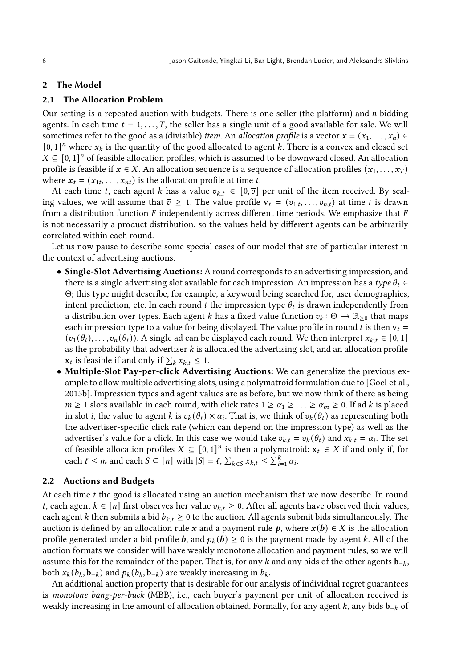## <span id="page-6-0"></span>2 The Model

#### 2.1 The Allocation Problem

Our setting is a repeated auction with budgets. There is one seller (the platform) and  $n$  bidding agents. In each time  $t = 1, \ldots, T$ , the seller has a single unit of a good available for sale. We will sometimes refer to the good as a (divisible) item. An allocation profile is a vector  $\mathbf{x} = (x_1, \ldots, x_n) \in$  $[0, 1]^n$  where  $x_k$  is the quantity of the good allocated to agent  $k$ . There is a convex and closed set  $X \subseteq [0, 1]^n$  of feasible allocation profiles, which is assumed to be downward closed. An allocation profile is feasible if  $x \in X$ . An allocation sequence is a sequence of allocation profiles  $(x_1, \ldots, x_T)$ where  $x_t = (x_{1t}, \ldots, x_{nt})$  is the allocation profile at time  $t$ .

At each time t, each agent k has a value  $v_{k,t} \in [0, \overline{v}]$  per unit of the item received. By scaling values, we will assume that  $\overline{v} \geq 1$ . The value profile  $\mathbf{v}_t = (v_{1,t}, \ldots, v_{n,t})$  at time t is drawn from a distribution function  $F$  independently across different time periods. We emphasize that  $F$ is not necessarily a product distribution, so the values held by different agents can be arbitrarily correlated within each round.

Let us now pause to describe some special cases of our model that are of particular interest in the context of advertising auctions.

- Single-Slot Advertising Auctions: A round corresponds to an advertising impression, and there is a single advertising slot available for each impression. An impression has a type  $\theta_t \in$ Θ; this type might describe, for example, a keyword being searched for, user demographics, intent prediction, etc. In each round  $t$  the impression type  $\theta_t$  is drawn independently from a distribution over types. Each agent *k* has a fixed value function  $v_k: \Theta \to \mathbb{R}_{\geq 0}$  that maps each impression type to a value for being displayed. The value profile in round t is then  $v_t =$  $(v_1(\theta_t), \ldots, v_n(\theta_t))$ . A single ad can be displayed each round. We then interpret  $x_{k,t} \in [0,1]$ as the probability that advertiser  $k$  is allocated the advertising slot, and an allocation profile  $\mathbf{x}_t$  is feasible if and only if  $\sum_k x_{k,t} \leq 1$ .
- Multiple-Slot Pay-per-click Advertising Auctions: We can generalize the previous example to allow multiple advertising slots, using a polymatroid formulation due to [\[Goel et al.](#page-22-6), [2015b\]](#page-22-6). Impression types and agent values are as before, but we now think of there as being  $m \ge 1$  slots available in each round, with click rates  $1 \ge \alpha_1 \ge \ldots \ge \alpha_m \ge 0$ . If ad *k* is placed in slot *i*, the value to agent *k* is  $v_k(\theta_t) \times \alpha_i$ . That is, we think of  $v_k(\theta_t)$  as representing both the advertiser-specific click rate (which can depend on the impression type) as well as the advertiser's value for a click. In this case we would take  $v_{k,t} = v_k(\theta_t)$  and  $x_{k,t} = \alpha_i$ . The set of feasible allocation profiles  $X \subseteq [0,1]^n$  is then a polymatroid:  $\mathbf{x}_t \in X$  if and only if, for each  $\ell \leq m$  and each  $S \subseteq [n]$  with  $|S| = \ell$ ,  $\sum_{k \in S} x_{k,t} \leq \sum_{i=1}^{k} \alpha_i$ .

#### 2.2 Auctions and Budgets

At each time  $t$  the good is allocated using an auction mechanism that we now describe. In round *t*, each agent *k* ∈ [*n*] first observes her value  $v_{k,t}$  ≥ 0. After all agents have observed their values, each agent k then submits a bid  $b_{k,t} \geq 0$  to the auction. All agents submit bids simultaneously. The auction is defined by an allocation rule x and a payment rule  $p$ , where  $x(b) \in X$  is the allocation profile generated under a bid profile **b**, and  $p_k(b) \ge 0$  is the payment made by agent k. All of the auction formats we consider will have weakly monotone allocation and payment rules, so we will assume this for the remainder of the paper. That is, for any  $k$  and any bids of the other agents  $\mathbf{b}_{-k}$ , both  $x_k(b_k, \mathbf{b}_{-k})$  and  $p_k(b_k, \mathbf{b}_{-k})$  are weakly increasing in  $b_k$ .

An additional auction property that is desirable for our analysis of individual regret guarantees is monotone bang-per-buck (MBB), i.e., each buyer's payment per unit of allocation received is weakly increasing in the amount of allocation obtained. Formally, for any agent  $k$ , any bids  $\mathbf{b}_{-k}$  of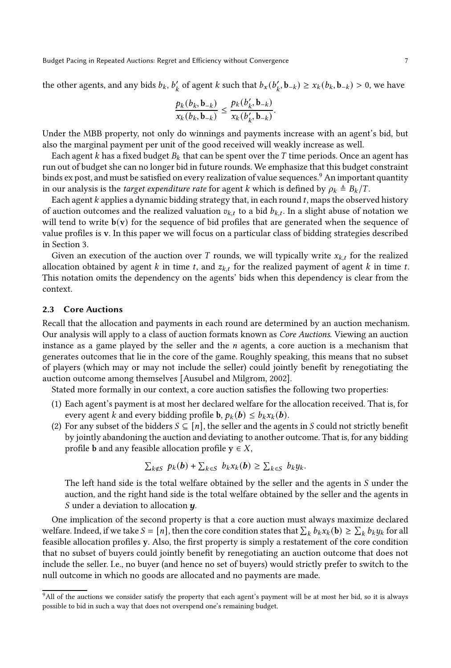the other agents, and any bids  $b_k$ ,  $b'_k$  of agent  $k$  such that  $b_x(b'_k, b_{-k}) \ge x_k(b_k, b_{-k}) > 0$ , we have

$$
\frac{p_k(b_k, \mathbf{b}_{-k})}{x_k(b_k, \mathbf{b}_{-k})} \leq \frac{p_k(b'_k, \mathbf{b}_{-k})}{x_k(b'_k, \mathbf{b}_{-k})}.
$$

Under the MBB property, not only do winnings and payments increase with an agent's bid, but also the marginal payment per unit of the good received will weakly increase as well.

Each agent  $k$  has a fixed budget  $B_k$  that can be spent over the T time periods. Once an agent has run out of budget she can no longer bid in future rounds. We emphasize that this budget constraint binds ex post, and must be satisfied on every realization of value sequences.<sup>[9](#page-7-0)</sup> An important quantity in our analysis is the *target expenditure rate* for agent k which is defined by  $\rho_k \triangleq B_k/T$ .

Each agent  $k$  applies a dynamic bidding strategy that, in each round  $t$ , maps the observed history of auction outcomes and the realized valuation  $v_{k,t}$  to a bid  $b_{k,t}$ . In a slight abuse of notation we will tend to write  $b(v)$  for the sequence of bid profiles that are generated when the sequence of value profiles is v. In this paper we will focus on a particular class of bidding strategies described in Section [3.](#page-8-0)

Given an execution of the auction over T rounds, we will typically write  $x_{k,t}$  for the realized allocation obtained by agent  $k$  in time  $t$ , and  $z_{k,t}$  for the realized payment of agent  $k$  in time  $t$ . This notation omits the dependency on the agents' bids when this dependency is clear from the context.

#### <span id="page-7-1"></span>2.3 Core Auctions

Recall that the allocation and payments in each round are determined by an auction mechanism. Our analysis will apply to a class of auction formats known as Core Auctions. Viewing an auction instance as a game played by the seller and the  $n$  agents, a core auction is a mechanism that generates outcomes that lie in the core of the game. Roughly speaking, this means that no subset of players (which may or may not include the seller) could jointly benefit by renegotiating the auction outcome among themselves [\[Ausubel and Milgrom, 2002](#page-21-2)].

Stated more formally in our context, a core auction satisfies the following two properties:

- (1) Each agent's payment is at most her declared welfare for the allocation received. That is, for every agent *k* and every bidding profile **b**,  $p_k(b) \leq b_k x_k(b)$ .
- (2) For any subset of the bidders  $S \subseteq [n]$ , the seller and the agents in S could not strictly benefit by jointly abandoning the auction and deviating to another outcome. That is, for any bidding profile **b** and any feasible allocation profile  $y \in X$ ,

$$
\sum_{k \notin S} p_k(b) + \sum_{k \in S} b_k x_k(b) \geq \sum_{k \in S} b_k y_k.
$$

The left hand side is the total welfare obtained by the seller and the agents in  $S$  under the auction, and the right hand side is the total welfare obtained by the seller and the agents in S under a deviation to allocation  $\boldsymbol{u}$ .

One implication of the second property is that a core auction must always maximize declared welfare. Indeed, if we take  $S = [n]$ , then the core condition states that  $\sum_k b_k x_k$  (b)  $\geq \sum_k b_k y_k$  for all feasible allocation profiles y. Also, the first property is simply a restatement of the core condition that no subset of buyers could jointly benefit by renegotiating an auction outcome that does not include the seller. I.e., no buyer (and hence no set of buyers) would strictly prefer to switch to the null outcome in which no goods are allocated and no payments are made.

<span id="page-7-0"></span><sup>&</sup>lt;sup>9</sup>All of the auctions we consider satisfy the property that each agent's payment will be at most her bid, so it is always possible to bid in such a way that does not overspend one's remaining budget.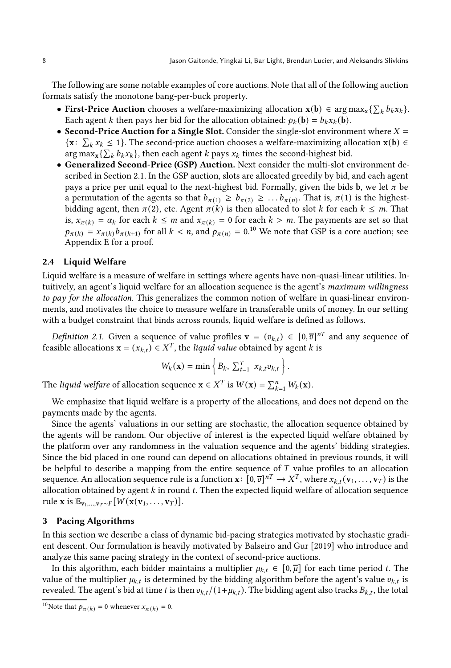The following are some notable examples of core auctions. Note that all of the following auction formats satisfy the monotone bang-per-buck property.

- First-Price Auction chooses a welfare-maximizing allocation  $\mathbf{x}(\mathbf{b}) \in \arg \max_{x} \{ \sum_{k} b_{k} x_{k} \}.$ Each agent *k* then pays her bid for the allocation obtained:  $p_k(\mathbf{b}) = b_k x_k(\mathbf{b})$ .
- Second-Price Auction for a Single Slot. Consider the single-slot environment where  $X =$ { $x: \sum_k x_k \le 1$ }. The second-price auction chooses a welfare-maximizing allocation  $x(b) \in$  $\arg \max_x {\sum_k b_k x_k}$ , then each agent *k* pays  $x_k$  times the second-highest bid.
- Generalized Second-Price (GSP) Auction. Next consider the multi-slot environment described in Section [2.1.](#page-6-0) In the GSP auction, slots are allocated greedily by bid, and each agent pays a price per unit equal to the next-highest bid. Formally, given the bids **b**, we let  $\pi$  be a permutation of the agents so that  $b_{\pi(1)} \geq b_{\pi(2)} \geq \ldots b_{\pi(n)}$ . That is,  $\pi(1)$  is the highestbidding agent, then  $\pi(2)$ , etc. Agent  $\pi(k)$  is then allocated to slot k for each  $k \leq m$ . That is,  $x_{\pi(k)} = \alpha_k$  for each  $k \leq m$  and  $x_{\pi(k)} = 0$  for each  $k > m$ . The payments are set so that  $p_{\pi(k)} = x_{\pi(k)} b_{\pi(k+1)}$  for all  $k < n$ , and  $p_{\pi(n)} = 0.10$  $p_{\pi(n)} = 0.10$  We note that GSP is a core auction; see Appendix [E](#page-26-0) for a proof.

#### 2.4 Liquid Welfare

Liquid welfare is a measure of welfare in settings where agents have non-quasi-linear utilities. Intuitively, an agent's liquid welfare for an allocation sequence is the agent's maximum willingness to pay for the allocation. This generalizes the common notion of welfare in quasi-linear environments, and motivates the choice to measure welfare in transferable units of money. In our setting with a budget constraint that binds across rounds, liquid welfare is defined as follows.

*Definition 2.1.* Given a sequence of value profiles  $\mathbf{v} = (v_{k,t}) \in [0,\overline{v}]^{nT}$  and any sequence of feasible allocations  $\mathbf{x} = (x_{k,t}) \in X^T$ , the *liquid value* obtained by agent k is

$$
W_k(\mathbf{x}) = \min \left\{ B_k, \ \sum_{t=1}^T x_{k,t} v_{k,t} \right\}.
$$

The liquid welfare of allocation sequence  $\mathbf{x} \in X^T$  is  $W(\mathbf{x}) = \sum_{k=1}^n W_k(\mathbf{x})$ .

We emphasize that liquid welfare is a property of the allocations, and does not depend on the payments made by the agents.

Since the agents' valuations in our setting are stochastic, the allocation sequence obtained by the agents will be random. Our objective of interest is the expected liquid welfare obtained by the platform over any randomness in the valuation sequence and the agents' bidding strategies. Since the bid placed in one round can depend on allocations obtained in previous rounds, it will be helpful to describe a mapping from the entire sequence of  $T$  value profiles to an allocation sequence. An allocation sequence rule is a function  $\mathbf{x} \colon [0, \overline{v}]^{n} \to X^T$ , where  $x_{k,t}(\mathbf{v}_1, \dots, \mathbf{v}_T)$  is the allocation obtained by agent  $k$  in round  $t$ . Then the expected liquid welfare of allocation sequence rule x is  $\mathbb{E}_{\mathbf{v}_1,...,\mathbf{v}_T \sim F}[W(\mathbf{x}(\mathbf{v}_1,...,\mathbf{v}_T))].$ 

#### <span id="page-8-0"></span>3 Pacing Algorithms

In this section we describe a class of dynamic bid-pacing strategies motivated by stochastic gradient descent. Our formulation is heavily motivated by Balseiro [and Gur \[2019](#page-21-1)] who introduce and analyze this same pacing strategy in the context of second-price auctions.

In this algorithm, each bidder maintains a multiplier  $\mu_{k,t} \in [0, \overline{\mu}]$  for each time period t. The value of the multiplier  $\mu_{k,t}$  is determined by the bidding algorithm before the agent's value  $v_{k,t}$  is revealed. The agent's bid at time t is then  $v_{k,t}/(1+\mu_{k,t})$ . The bidding agent also tracks  $B_{k,t}$ , the total

<span id="page-8-1"></span><sup>&</sup>lt;sup>10</sup>Note that  $p_{\pi(k)} = 0$  whenever  $x_{\pi(k)} = 0$ .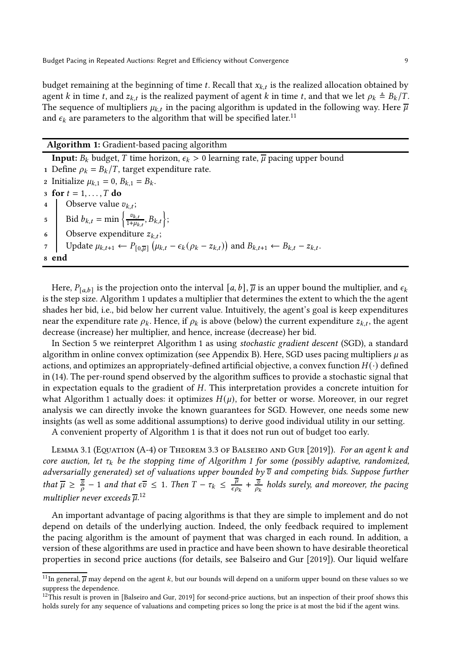budget remaining at the beginning of time t. Recall that  $x_{k,t}$  is the realized allocation obtained by agent k in time t, and  $z_{k,t}$  is the realized payment of agent k in time t, and that we let  $\rho_k \triangleq B_k/T$ . The sequence of multipliers  $\mu_{k,t}$  in the pacing algorithm is updated in the following way. Here  $\overline{\mu}$ and  $\epsilon_k$  are parameters to the algorithm that will be specified later.<sup>[11](#page-9-0)</sup>

# <span id="page-9-1"></span>Algorithm 1: Gradient-based pacing algorithm

**Input:**  $B_k$  budget,  $T$  time horizon,  $\epsilon_k > 0$  learning rate,  $\overline{\mu}$  pacing upper bound 1 Define  $\rho_k = B_k/T$ , target expenditure rate. 2 Initialize  $\mu_{k,1} = 0$ ,  $B_{k,1} = B_k$ . 3 for  $t = 1, \ldots, T$  do 4 Observe value  $v_{k,t}$ ; 5 Bid  $b_{k,t} = \min \left\{ \frac{v_{k,t}}{1+u_k} \right\}$  $\left\{\frac{v_{k,t}}{1+\mu_{k,t}}, B_{k,t}\right\};$ 6 Observe expenditure  $z_{k,t}$ ; 7 Update  $\mu_{k,t+1} \leftarrow P_{[0,\overline{\mu}]}(\mu_{k,t} - \epsilon_k(\rho_k - z_{k,t}))$  and  $B_{k,t+1} \leftarrow B_{k,t} - z_{k,t}$ . <sup>8</sup> end

Here,  $P_{[a,b]}$  is the projection onto the interval  $[a,b]$ ,  $\overline{\mu}$  is an upper bound the multiplier, and  $\epsilon_k$ is the step size. [Algorithm 1](#page-9-1) updates a multiplier that determines the extent to which the the agent shades her bid, i.e., bid below her current value. Intuitively, the agent's goal is keep expenditures near the expenditure rate  $\rho_k$ . Hence, if  $\rho_k$  is above (below) the current expenditure  $z_{k,t}$ , the agent decrease (increase) her multiplier, and hence, increase (decrease) her bid.

In Section [5](#page-15-0) we reinterpret [Algorithm 1](#page-9-1) as using stochastic gradient descent (SGD), a standard algorithm in online convex optimization (see [Appendix B\)](#page-23-0). Here, SGD uses pacing multipliers  $\mu$  as actions, and optimizes an appropriately-defined artificial objective, a convex function  $H(\cdot)$  defined in [\(14\)](#page-17-0). The per-round spend observed by the algorithm suffices to provide a stochastic signal that in expectation equals to the gradient of  $H$ . This interpretation provides a concrete intuition for what [Algorithm 1](#page-9-1) actually does: it optimizes  $H(\mu)$ , for better or worse. Moreover, in our regret analysis we can directly invoke the known guarantees for SGD. However, one needs some new insights (as well as some additional assumptions) to derive good individual utility in our setting.

<span id="page-9-3"></span>A convenient property of [Algorithm 1](#page-9-1) is that it does not run out of budget too early.

LEMMA 3.1 (EQUATION (A-4) OF THEOREM 3.3 OF BALSEIRO AND GUR [2019]). For an agent k and core auction, let  $\tau_k$  be the stopping time of [Algorithm 1](#page-9-1) for some (possibly adaptive, randomized, adversarially generated) set of valuations upper bounded by  $\overline{v}$  and competing bids. Suppose further that  $\overline{\mu} \geq \frac{\overline{v}}{\rho} - 1$  and that  $\epsilon \overline{v} \leq 1$ . Then  $T - \tau_k \leq \frac{\overline{\mu}}{\epsilon \rho}$  $\frac{\overline{\mu}}{\epsilon \rho_k}$  +  $\frac{\overline{v}}{\rho_k}$  holds surely, and moreover, the pacing multiplier never exceeds  $\overline{\mu}$ .<sup>[12](#page-9-2)</sup>

An important advantage of pacing algorithms is that they are simple to implement and do not depend on details of the underlying auction. Indeed, the only feedback required to implement the pacing algorithm is the amount of payment that was charged in each round. In addition, a version of these algorithms are used in practice and have been shown to have desirable theoretical properties in second price auctions (for details, see [Balseiro and Gur \[2019\]](#page-21-1)). Our liquid welfare

<span id="page-9-0"></span><sup>&</sup>lt;sup>11</sup>In general,  $\overline{\mu}$  may depend on the agent k, but our bounds will depend on a uniform upper bound on these values so we suppress the dependence.

<span id="page-9-2"></span> $12$ This result is proven in [\[Balseiro and Gur](#page-21-1), [2019](#page-21-1)] for second-price auctions, but an inspection of their proof shows this holds surely for any sequence of valuations and competing prices so long the price is at most the bid if the agent wins.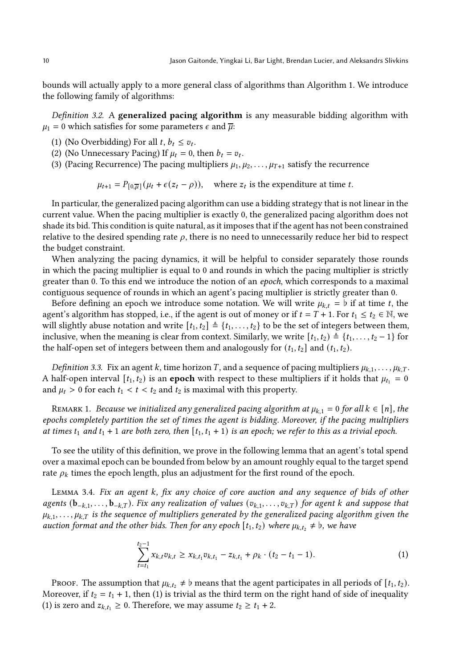bounds will actually apply to a more general class of algorithms than [Algorithm 1.](#page-9-1) We introduce the following family of algorithms:

Definition 3.2. A generalized pacing algorithm is any measurable bidding algorithm with  $\mu_1 = 0$  which satisfies for some parameters  $\epsilon$  and  $\overline{\mu}$ :

- (1) (No Overbidding) For all  $t, b_t \leq v_t$ .
- (2) (No Unnecessary Pacing) If  $\mu_t = 0$ , then  $b_t = v_t$ .
- (3) (Pacing Recurrence) The pacing multipliers  $\mu_1, \mu_2, \ldots, \mu_{T+1}$  satisfy the recurrence

 $\mu_{t+1} = P_{[0,\overline{\mu}]}(\mu_t + \epsilon(z_t - \rho)),$  where  $z_t$  is the expenditure at time  $t$ .

In particular, the generalized pacing algorithm can use a bidding strategy that is not linear in the current value. When the pacing multiplier is exactly 0, the generalized pacing algorithm does not shade its bid. This condition is quite natural, as it imposes that if the agent has not been constrained relative to the desired spending rate  $\rho$ , there is no need to unnecessarily reduce her bid to respect the budget constraint.

When analyzing the pacing dynamics, it will be helpful to consider separately those rounds in which the pacing multiplier is equal to 0 and rounds in which the pacing multiplier is strictly greater than 0. To this end we introduce the notion of an epoch, which corresponds to a maximal contiguous sequence of rounds in which an agent's pacing multiplier is strictly greater than 0.

Before defining an epoch we introduce some notation. We will write  $\mu_{k,t} = b$  if at time t, the agent's algorithm has stopped, i.e., if the agent is out of money or if  $t = T + 1$ . For  $t_1 \le t_2 \in \mathbb{N}$ , we will slightly abuse notation and write  $[t_1, t_2] \triangleq \{t_1, \ldots, t_2\}$  to be the set of integers between them, inclusive, when the meaning is clear from context. Similarly, we write  $[t_1, t_2) \triangleq \{t_1, \ldots, t_2 - 1\}$  for the half-open set of integers between them and analogously for  $(t_1, t_2]$  and  $(t_1, t_2)$ .

*Definition 3.3.* Fix an agent *k*, time horizon *T*, and a sequence of pacing multipliers  $\mu_{k,1}, \ldots, \mu_{k,T}$ . A half-open interval  $[t_1, t_2)$  is an **epoch** with respect to these multipliers if it holds that  $\mu_{t_1} = 0$ and  $\mu_t > 0$  for each  $t_1 < t < t_2$  and  $t_2$  is maximal with this property.

REMARK 1. Because we initialized any generalized pacing algorithm at  $\mu_{k,1} = 0$  for all  $k \in [n]$ , the epochs completely partition the set of times the agent is bidding. Moreover, if the pacing multipliers at times  $t_1$  and  $t_1 + 1$  are both zero, then  $[t_1, t_1 + 1]$  is an epoch; we refer to this as a trivial epoch.

To see the utility of this definition, we prove in the following lemma that an agent's total spend over a maximal epoch can be bounded from below by an amount roughly equal to the target spend rate  $\rho_k$  times the epoch length, plus an adjustment for the first round of the epoch.

<span id="page-10-1"></span>LEMMA 3.4. Fix an agent  $k$ , fix any choice of core auction and any sequence of bids of other agents  $(b_{-k,1}, \ldots, b_{-k,T})$ . Fix any realization of values  $(v_{k,1}, \ldots, v_{k,T})$  for agent k and suppose that  $\mu_{k,1}, \ldots, \mu_{k,T}$  is the sequence of multipliers generated by the generalized pacing algorithm given the auction format and the other bids. Then for any epoch  $[t_1, t_2)$  where  $\mu_{k,t_2} \neq \mathfrak{b}$ , we have

<span id="page-10-0"></span>
$$
\sum_{t=t_1}^{t_2-1} x_{k,t} v_{k,t} \geq x_{k,t_1} v_{k,t_1} - z_{k,t_1} + \rho_k \cdot (t_2 - t_1 - 1). \tag{1}
$$

Proof. The assumption that  $\mu_{k,t_2} \neq \mathfrak{b}$  means that the agent participates in all periods of  $[t_1, t_2)$ . Moreover, if  $t_2 = t_1 + 1$ , then [\(1\)](#page-10-0) is trivial as the third term on the right hand of side of inequality [\(1\)](#page-10-0) is zero and  $z_{k,t_1} \geq 0$ . Therefore, we may assume  $t_2 \geq t_1 + 2$ .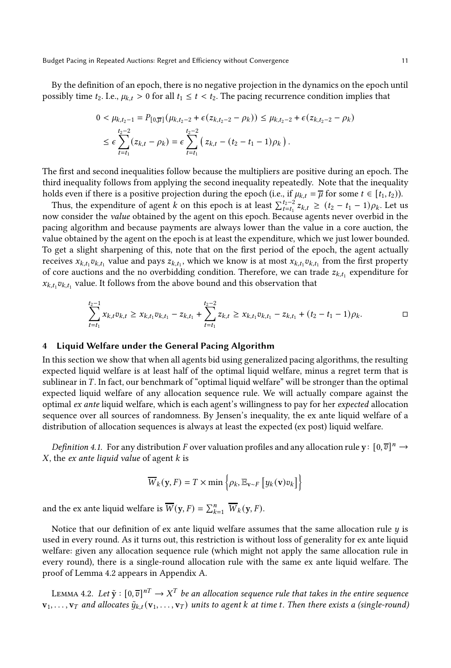By the definition of an epoch, there is no negative projection in the dynamics on the epoch until possibly time  $t_2$ . I.e.,  $\mu_{k,t} > 0$  for all  $t_1 \le t < t_2$ . The pacing recurrence condition implies that

$$
0 < \mu_{k,t_2-1} = P_{[0,\overline{\mu}]}(\mu_{k,t_2-2} + \epsilon(z_{k,t_2-2} - \rho_k)) \le \mu_{k,t_2-2} + \epsilon(z_{k,t_2-2} - \rho_k)
$$
\n
$$
\le \epsilon \sum_{t=t_1}^{t_2-2} (z_{k,t} - \rho_k) = \epsilon \sum_{t=t_1}^{t_2-2} \left( z_{k,t} - (t_2 - t_1 - 1)\rho_k \right).
$$

The first and second inequalities follow because the multipliers are positive during an epoch. The third inequality follows from applying the second inequality repeatedly. Note that the inequality holds even if there is a positive projection during the epoch (i.e., if  $\mu_{k,t} = \overline{\mu}$  for some  $t \in [t_1, t_2)$ ).

Thus, the expenditure of agent *k* on this epoch is at least  $\sum_{t=t_1}^{t_2-2} z_{k,t} \ge (t_2 - t_1 - 1)\rho_k$ . Let us now consider the value obtained by the agent on this epoch. Because agents never overbid in the pacing algorithm and because payments are always lower than the value in a core auction, the value obtained by the agent on the epoch is at least the expenditure, which we just lower bounded. To get a slight sharpening of this, note that on the first period of the epoch, the agent actually receives  $x_{k,t_1}v_{k,t_1}$  value and pays  $z_{k,t_1}$ , which we know is at most  $x_{k,t_1}v_{k,t_1}$  from the first property of core auctions and the no overbidding condition. Therefore, we can trade  $z_{k,t_1}$  expenditure for  $x_{k,t_1}v_{k,t_1}$  value. It follows from the above bound and this observation that

$$
\sum_{t=t_1}^{t_2-1} x_{k,t} v_{k,t} \geq x_{k,t_1} v_{k,t_1} - z_{k,t_1} + \sum_{t=t_1}^{t_2-2} z_{k,t} \geq x_{k,t_1} v_{k,t_1} - z_{k,t_1} + (t_2 - t_1 - 1)\rho_k.
$$

#### <span id="page-11-1"></span>4 Liquid Welfare under the General Pacing Algorithm

In this section we show that when all agents bid using generalized pacing algorithms, the resulting expected liquid welfare is at least half of the optimal liquid welfare, minus a regret term that is sublinear in  $T$ . In fact, our benchmark of "optimal liquid welfare" will be stronger than the optimal expected liquid welfare of any allocation sequence rule. We will actually compare against the optimal ex ante liquid welfare, which is each agent's willingness to pay for her expected allocation sequence over all sources of randomness. By Jensen's inequality, the ex ante liquid welfare of a distribution of allocation sequences is always at least the expected (ex post) liquid welfare.

*Definition 4.1.* For any distribution F over valuation profiles and any allocation rule  $y: [0, \overline{v}]^n \to$  $X$ , the ex ante liquid value of agent  $k$  is

$$
\overline{W}_{k}(\mathbf{y}, F) = T \times \min \left\{ \rho_{k}, \mathbb{E}_{\mathbf{v} \sim F} \left[ y_{k}(\mathbf{v}) v_{k} \right] \right\}
$$

and the ex ante liquid welfare is  $\overline{W}(\mathbf{y}, F) = \sum_{k=1}^{n} \overline{W}_k(\mathbf{y}, F)$ .

Notice that our definition of ex ante liquid welfare assumes that the same allocation rule  $\eta$  is used in every round. As it turns out, this restriction is without loss of generality for ex ante liquid welfare: given any allocation sequence rule (which might not apply the same allocation rule in every round), there is a single-round allocation rule with the same ex ante liquid welfare. The proof of Lemma [4.2](#page-11-0) appears in Appendix [A.](#page-22-7)

<span id="page-11-0"></span>LEMMA 4.2. Let  $\tilde{y} : [0, \overline{v}]^{nT} \to X^T$  be an allocation sequence rule that takes in the entire sequence  ${\bf v}_1, \ldots, {\bf v}_T$  and allocates  $\tilde{y}_{k,t}({\bf v}_1, \ldots, {\bf v}_T)$  units to agent k at time t. Then there exists a (single-round)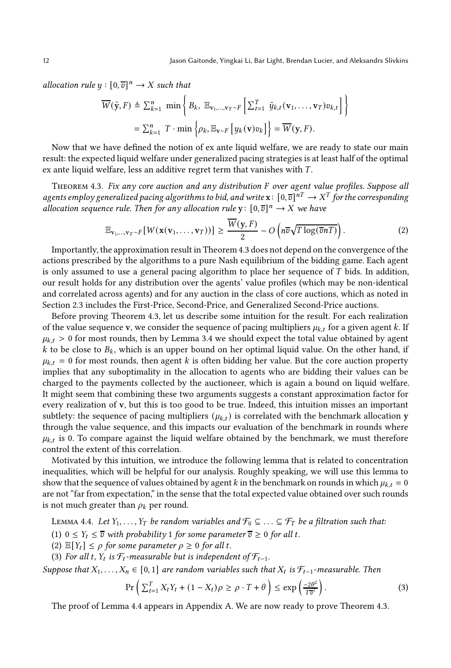allocation rule  $y : [0, \overline{v}]^n \to X$  such that

$$
\overline{W}(\tilde{\mathbf{y}},F) \triangleq \sum_{k=1}^{n} \min \left\{ B_{k}, \mathbb{E}_{\mathbf{v}_{1},...,\mathbf{v}_{T}\sim F}\left[\sum_{t=1}^{T} \tilde{y}_{k,t}(\mathbf{v}_{1},...,\mathbf{v}_{T})v_{k,t}\right] \right\}
$$

$$
= \sum_{k=1}^{n} T \cdot \min \left\{ \rho_{k}, \mathbb{E}_{\mathbf{v}\sim F}\left[y_{k}(\mathbf{v})v_{k}\right] \right\} = \overline{W}(\mathbf{y},F).
$$

Now that we have defined the notion of ex ante liquid welfare, we are ready to state our main result: the expected liquid welfare under generalized pacing strategies is at least half of the optimal ex ante liquid welfare, less an additive regret term that vanishes with  $T$ .

<span id="page-12-0"></span>THEOREM 4.3. Fix any core auction and any distribution F over agent value profiles. Suppose all agents employ generalized pacing algorithms to bid, and write  $\mathbf{x}\colon [0,\overline{v}]^{nT}\to X^T$  for the corresponding allocation sequence rule. Then for any allocation rule  $y \colon [0,\overline{v}]^n \to X$  we have

<span id="page-12-2"></span>
$$
\mathbb{E}_{\mathbf{v}_1,\dots,\mathbf{v}_T\sim F}[W(\mathbf{x}(\mathbf{v}_1,\dots,\mathbf{v}_T))] \ge \frac{\overline{W}(\mathbf{y},F)}{2} - O\left(n\overline{v}\sqrt{T\log(\overline{v}n)}\right).
$$
 (2)

Importantly, the approximation result in Theorem [4.3](#page-12-0) does not depend on the convergence of the actions prescribed by the algorithms to a pure Nash equilibrium of the bidding game. Each agent is only assumed to use a general pacing algorithm to place her sequence of  $T$  bids. In addition, our result holds for any distribution over the agents' value profiles (which may be non-identical and correlated across agents) and for any auction in the class of core auctions, which as noted in Section [2.3](#page-7-1) includes the First-Price, Second-Price, and Generalized Second-Price auctions.

Before proving Theorem [4.3,](#page-12-0) let us describe some intuition for the result. For each realization of the value sequence v, we consider the sequence of pacing multipliers  $\mu_{k,t}$  for a given agent k. If  $\mu_{k,t} > 0$  for most rounds, then by Lemma [3.4](#page-10-1) we should expect the total value obtained by agent k to be close to  $B_k$ , which is an upper bound on her optimal liquid value. On the other hand, if  $\mu_{k,t} = 0$  for most rounds, then agent k is often bidding her value. But the core auction property implies that any suboptimality in the allocation to agents who are bidding their values can be charged to the payments collected by the auctioneer, which is again a bound on liquid welfare. It might seem that combining these two arguments suggests a constant approximation factor for every realization of v, but this is too good to be true. Indeed, this intuition misses an important subtlety: the sequence of pacing multipliers ( $\mu_{k,t}$ ) is correlated with the benchmark allocation y through the value sequence, and this impacts our evaluation of the benchmark in rounds where  $\mu_{k,t}$  is 0. To compare against the liquid welfare obtained by the benchmark, we must therefore control the extent of this correlation.

Motivated by this intuition, we introduce the following lemma that is related to concentration inequalities, which will be helpful for our analysis. Roughly speaking, we will use this lemma to show that the sequence of values obtained by agent  $k$  in the benchmark on rounds in which  $\mu_{k,t} = 0$ are not "far from expectation," in the sense that the total expected value obtained over such rounds is not much greater than  $\rho_k$  per round.

<span id="page-12-1"></span>LEMMA 4.4. Let  $Y_1, \ldots, Y_T$  be random variables and  $\mathcal{F}_0 \subseteq \ldots \subseteq \mathcal{F}_T$  be a filtration such that:

(1)  $0 \le Y_t \le \overline{v}$  with probability 1 for some parameter  $\overline{v} \ge 0$  for all t.

- (2)  $\mathbb{E}[Y_t] \leq \rho$  for some parameter  $\rho \geq 0$  for all t.
- (3) For all t,  $Y_t$  is  $\mathcal{F}_t$ -measurable but is independent of  $\mathcal{F}_{t-1}$ .

Suppose that  $X_1, \ldots, X_n \in [0, 1]$  are random variables such that  $X_t$  is  $\mathcal{F}_{t-1}$ -measurable. Then

<span id="page-12-3"></span>
$$
\Pr\left(\sum_{t=1}^{T} X_t Y_t + (1 - X_t)\rho \ge \rho \cdot T + \theta\right) \le \exp\left(\frac{-2\theta^2}{T\overline{v}^2}\right). \tag{3}
$$

The proof of Lemma [4.4](#page-12-1) appears in Appendix [A.](#page-22-7) We are now ready to prove Theorem [4.3.](#page-12-0)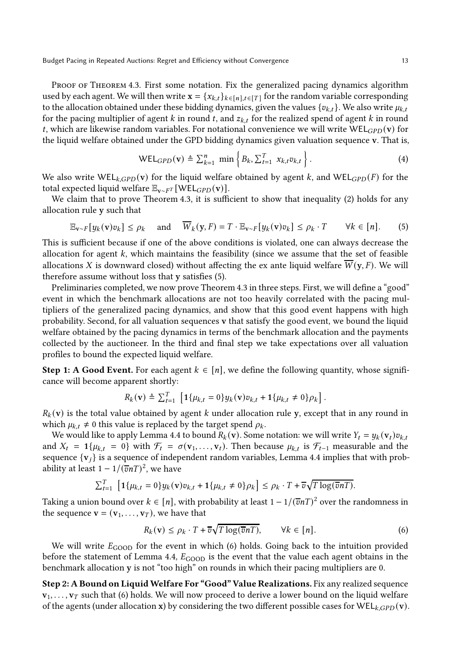PROOF OF THEOREM [4.3.](#page-12-0) First some notation. Fix the generalized pacing dynamics algorithm used by each agent. We will then write  $\mathbf{x} = \{x_{k,t}\}_{k \in [n], t \in [T]}$  for the random variable corresponding to the allocation obtained under these bidding dynamics, given the values  $\{v_{k,t}\}$ . We also write  $\mu_{k,t}$ for the pacing multiplier of agent  $k$  in round  $t$ , and  $z_{k,t}$  for the realized spend of agent  $k$  in round t, which are likewise random variables. For notational convenience we will write WEL $_{GPD}(v)$  for the liquid welfare obtained under the GPD bidding dynamics given valuation sequence v. That is,

<span id="page-13-0"></span>
$$
\text{WEL}_{GPD}(\mathbf{v}) \triangleq \sum_{k=1}^{n} \min \left\{ B_k, \sum_{t=1}^{T} x_{k,t} v_{k,t} \right\}. \tag{4}
$$

We also write  $WEL_{\mathcal{K}GPD}(v)$  for the liquid welfare obtained by agent k, and WEL $_{GPD}(F)$  for the total expected liquid welfare  $\mathbb{E}_{\mathbf{v} \sim F^T}[\text{WEL}_{GPD}(\mathbf{v})]$ .

We claim that to prove [Theorem 4.3,](#page-12-0) it is sufficient to show that inequality [\(2\)](#page-12-2) holds for any allocation rule y such that

$$
\mathbb{E}_{\mathbf{v}\sim F}[y_k(\mathbf{v})v_k] \le \rho_k \quad \text{and} \quad \overline{W}_k(\mathbf{y}, F) = T \cdot \mathbb{E}_{\mathbf{v}\sim F}[y_k(\mathbf{v})v_k] \le \rho_k \cdot T \qquad \forall k \in [n]. \tag{5}
$$

This is sufficient because if one of the above conditions is violated, one can always decrease the allocation for agent  $k$ , which maintains the feasibility (since we assume that the set of feasible allocations X is downward closed) without affecting the ex ante liquid welfare  $W(y, F)$ . We will therefore assume without loss that y satisfies [\(5\)](#page-13-0).

Preliminaries completed, we now prove Theorem [4.3](#page-12-0) in three steps. First, we will define a "good" event in which the benchmark allocations are not too heavily correlated with the pacing multipliers of the generalized pacing dynamics, and show that this good event happens with high probability. Second, for all valuation sequences v that satisfy the good event, we bound the liquid welfare obtained by the pacing dynamics in terms of the benchmark allocation and the payments collected by the auctioneer. In the third and final step we take expectations over all valuation profiles to bound the expected liquid welfare.

**Step 1: A Good Event.** For each agent  $k \in [n]$ , we define the following quantity, whose significance will become apparent shortly:

$$
R_k(\mathbf{v}) \triangleq \sum_{t=1}^T \left[ \mathbf{1}\{ \mu_{k,t} = 0 \} y_k(\mathbf{v}) v_{k,t} + \mathbf{1}\{ \mu_{k,t} \neq 0 \} \rho_k \right].
$$

 $R_k$ (v) is the total value obtained by agent k under allocation rule y, except that in any round in which  $\mu_{k,t} \neq 0$  this value is replaced by the target spend  $\rho_k$ .

We would like to apply [Lemma 4.4](#page-12-1) to bound  $R_k(\mathbf{v})$ . Some notation: we will write  $Y_t = y_k(\mathbf{v}_t)v_{k,t}$ and  $X_t = 1\{\mu_{k,t} = 0\}$  with  $\mathcal{F}_t = \sigma(\mathbf{v}_1, \dots, \mathbf{v}_t)$ . Then because  $\mu_{k,t}$  is  $\mathcal{F}_{t-1}$  measurable and the sequence  $\{v_i\}$  is a sequence of independent random variables, [Lemma 4.4](#page-12-1) implies that with probability at least  $1 - 1/(\overline{v}nT)^2$ , we have

$$
\sum_{t=1}^T \left[ \mathbf{1}\{\mu_{k,t} = 0\} y_k(\mathbf{v}) v_{k,t} + \mathbf{1}\{\mu_{k,t} \neq 0\} \rho_k \right] \leq \rho_k \cdot T + \overline{v} \sqrt{T \log(\overline{v} nT)}.
$$

Taking a union bound over  $k \in [n]$ , with probability at least  $1 - 1/(\overline{v}nT)^2$  over the randomness in the sequence  $\mathbf{v} = (\mathbf{v}_1, \dots, \mathbf{v}_T)$ , we have that

<span id="page-13-1"></span>
$$
R_k(\mathbf{v}) \le \rho_k \cdot T + \overline{v} \sqrt{T \log(\overline{v} nT)}, \qquad \forall k \in [n]. \tag{6}
$$

We will write  $E_{\text{GOOD}}$  for the event in which [\(6\)](#page-13-1) holds. Going back to the intuition provided before the statement of Lemma [4.4,](#page-12-1)  $E_{\text{GOOD}}$  is the event that the value each agent obtains in the benchmark allocation y is not "too high" on rounds in which their pacing multipliers are 0.

Step 2: A Bound on Liquid Welfare For "Good" Value Realizations. Fix any realized sequence  $v_1, \ldots, v_T$  such that [\(6\)](#page-13-1) holds. We will now proceed to derive a lower bound on the liquid welfare of the agents (under allocation x) by considering the two different possible cases for  $WEL_{kGPD}(v)$ .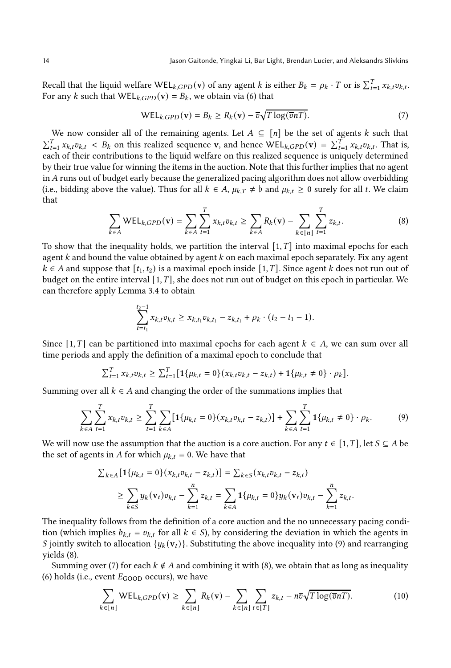Recall that the liquid welfare WEL<sub>k,GPD</sub>(**v**) of any agent *k* is either  $B_k = \rho_k \cdot T$  or is  $\sum_{t=1}^T x_{k,t} v_{k,t}$ . For any k such that  $WEL_{kGPD}(v) = B_k$ , we obtain via [\(6\)](#page-13-1) that

<span id="page-14-2"></span>
$$
WEL_{k,GPD}(\mathbf{v}) = B_k \ge R_k(\mathbf{v}) - \overline{v}\sqrt{T \log(\overline{v}n)}.
$$
\n(7)

We now consider all of the remaining agents. Let  $A \subseteq [n]$  be the set of agents k such that  $\sum_{t=1}^{T} x_{k,t} v_{k,t}$  <  $B_k$  on this realized sequence v, and hence WEL<sub>k,GPD</sub>(v) =  $\sum_{t=1}^{T} x_{k,t} v_{k,t}$ . That is, each of their contributions to the liquid welfare on this realized sequence is uniquely determined by their true value for winning the items in the auction. Note that this further implies that no agent in  $A$  runs out of budget early because the generalized pacing algorithm does not allow overbidding (i.e., bidding above the value). Thus for all  $k \in A$ ,  $\mu_{k,T} \neq \mathfrak{b}$  and  $\mu_{k,t} \geq 0$  surely for all t. We claim that

<span id="page-14-1"></span>
$$
\sum_{k \in A} \text{WEL}_{k,GPD}(\mathbf{v}) = \sum_{k \in A} \sum_{t=1}^{T} x_{k,t} v_{k,t} \ge \sum_{k \in A} R_k(\mathbf{v}) - \sum_{k \in [n]} \sum_{t=1}^{T} z_{k,t}.
$$
 (8)

To show that the inequality holds, we partition the interval  $[1, T]$  into maximal epochs for each agent  $k$  and bound the value obtained by agent  $k$  on each maximal epoch separately. Fix any agent  $k \in A$  and suppose that  $[t_1, t_2)$  is a maximal epoch inside  $[1, T]$ . Since agent k does not run out of budget on the entire interval  $[1, T]$ , she does not run out of budget on this epoch in particular. We can therefore apply [Lemma 3.4](#page-10-1) to obtain

$$
\sum_{t=t_1}^{t_2-1} x_{k,t} v_{k,t} \geq x_{k,t_1} v_{k,t_1} - z_{k,t_1} + \rho_k \cdot (t_2 - t_1 - 1).
$$

Since [1, T] can be partitioned into maximal epochs for each agent  $k \in A$ , we can sum over all time periods and apply the definition of a maximal epoch to conclude that

$$
\sum_{t=1}^T x_{k,t} v_{k,t} \geq \sum_{t=1}^T \big[ 1\{\mu_{k,t} = 0\} (x_{k,t} v_{k,t} - z_{k,t}) + 1\{\mu_{k,t} \neq 0\} \cdot \rho_k \big].
$$

Summing over all  $k \in A$  and changing the order of the summations implies that

<span id="page-14-0"></span>
$$
\sum_{k\in A}\sum_{t=1}^T x_{k,t}v_{k,t} \ge \sum_{t=1}^T \sum_{k\in A} \bigl[1\{\mu_{k,t}=0\}(x_{k,t}v_{k,t}-z_{k,t})\bigr] + \sum_{k\in A}\sum_{t=1}^T 1\{\mu_{k,t}\neq 0\} \cdot \rho_k. \tag{9}
$$

We will now use the assumption that the auction is a core auction. For any  $t \in [1, T]$ , let  $S \subseteq A$  be the set of agents in A for which  $\mu_{k,t} = 0$ . We have that

$$
\sum_{k \in A} \left[ \mathbf{1} \{ \mu_{k,t} = 0 \} (x_{k,t} v_{k,t} - z_{k,t}) \right] = \sum_{k \in S} (x_{k,t} v_{k,t} - z_{k,t})
$$
\n
$$
\geq \sum_{k \in S} y_k (\mathbf{v}_t) v_{k,t} - \sum_{k=1}^n z_{k,t} = \sum_{k \in A} \mathbf{1} \{ \mu_{k,t} = 0 \} y_k (\mathbf{v}_t) v_{k,t} - \sum_{k=1}^n z_{k,t}.
$$

The inequality follows from the definition of a core auction and the no unnecessary pacing condition (which implies  $b_{k,t} = v_{k,t}$  for all  $k \in S$ ), by considering the deviation in which the agents in S jointly switch to allocation  $\{y_k(\mathbf{v}_t)\}$ . Substituting the above inequality into [\(9\)](#page-14-0) and rearranging yields [\(8\).](#page-14-1)

Summing over [\(7\)](#page-14-2) for each  $k \notin A$  and combining it with [\(8\),](#page-14-1) we obtain that as long as inequality [\(6\)](#page-13-1) holds (i.e., event  $E_{\text{GOOD}}$  occurs), we have

<span id="page-14-3"></span>
$$
\sum_{k \in [n]} \text{WEL}_{k,GPD}(\mathbf{v}) \ge \sum_{k \in [n]} R_k(\mathbf{v}) - \sum_{k \in [n]} \sum_{t \in [T]} z_{k,t} - n\overline{v}\sqrt{T \log(\overline{v}n)}.
$$
 (10)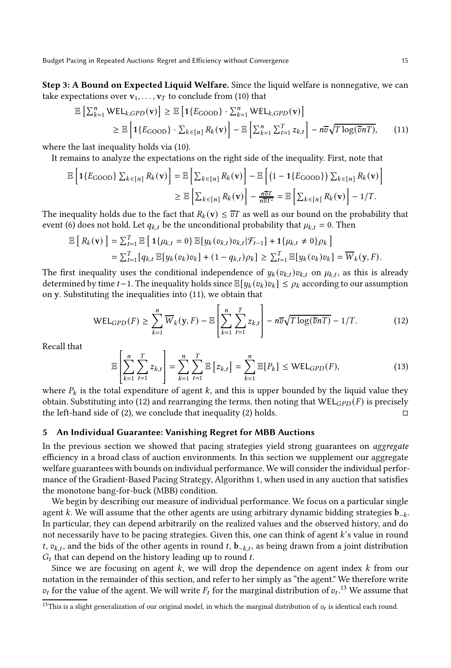Step 3: A Bound on Expected Liquid Welfare. Since the liquid welfare is nonnegative, we can take expectations over  $v_1, \ldots, v_T$  to conclude from [\(10\)](#page-14-3) that

<span id="page-15-1"></span>
$$
\mathbb{E}\left[\sum_{k=1}^{n} \text{WEL}_{k,GPD}(\mathbf{v})\right] \geq \mathbb{E}\left[\mathbf{1}\{E_{\text{GOOD}}\} \cdot \sum_{k=1}^{n} \text{WEL}_{k,GPD}(\mathbf{v})\right]
$$
\n
$$
\geq \mathbb{E}\left[\mathbf{1}\{E_{\text{GOOD}}\} \cdot \sum_{k \in [n]} R_k(\mathbf{v})\right] - \mathbb{E}\left[\sum_{k=1}^{n} \sum_{t=1}^{T} z_{k,t}\right] - n\overline{v}\sqrt{T \log(\overline{v}n)}.
$$
\n(11)

where the last inequality holds via [\(10\).](#page-14-3)

It remains to analyze the expectations on the right side of the inequality. First, note that

$$
\mathbb{E}\left[\mathbf{1}\{E_{\text{GOOD}}\}\sum_{k\in[n]}R_k(\mathbf{v})\right] = \mathbb{E}\left[\sum_{k\in[n]}R_k(\mathbf{v})\right] - \mathbb{E}\left[\left(1 - \mathbf{1}\{E_{\text{GOOD}}\}\right)\sum_{k\in[n]}R_k(\mathbf{v})\right] \geq \mathbb{E}\left[\sum_{k\in[n]}R_k(\mathbf{v})\right] - \frac{n\overline{v}T}{n\overline{v}T^2} = \mathbb{E}\left[\sum_{k\in[n]}R_k(\mathbf{v})\right] - 1/T.
$$

The inequality holds due to the fact that  $R_k(\mathbf{v}) \leq \overline{v}T$  as well as our bound on the probability that event [\(6\)](#page-13-1) does not hold. Let  $q_{k,t}$  be the unconditional probability that  $\mu_{k,t} = 0$ . Then

$$
\mathbb{E}\left[R_k(\mathbf{v})\right] = \sum_{t=1}^T \mathbb{E}\left[\mathbf{1}\{\mu_{k,t} = 0\}\mathbb{E}[y_k(v_{k,t})v_{k,t}|\mathcal{F}_{t-1}] + \mathbf{1}\{\mu_{k,t} \neq 0\}\rho_k\right] \n= \sum_{t=1}^T [q_{k,t}\mathbb{E}[y_k(v_k)v_k] + (1-q_{k,t})\rho_k] \ge \sum_{t=1}^T \mathbb{E}[y_k(v_k)v_k] = \overline{W}_k(\mathbf{y}, F).
$$

The first inequality uses the conditional independence of  $y_k(v_{k,t})v_{k,t}$  on  $\mu_{k,t}$ , as this is already determined by time  $t-1$ . The inequality holds since  $\mathbb{E}[y_k(v_k)v_k] \leq \rho_k$  according to our assumption on y. Substituting the inequalities into [\(11\),](#page-15-1) we obtain that

<span id="page-15-2"></span>
$$
\text{WEL}_{GPD}(F) \geq \sum_{k=1}^{n} \overline{W}_k(\mathbf{y}, F) - \mathbb{E}\left[\sum_{k=1}^{n} \sum_{t=1}^{T} z_{k,t}\right] - n\overline{v}\sqrt{T \log(\overline{v}n)} - 1/T. \tag{12}
$$

Recall that

$$
\mathbb{E}\left[\sum_{k=1}^{n}\sum_{t=1}^{T}z_{k,t}\right]=\sum_{k=1}^{n}\sum_{t=1}^{T}\mathbb{E}\left[z_{k,t}\right]=\sum_{k=1}^{n}\mathbb{E}[P_{k}] \leq \mathsf{WEL}_{GPD}(F),\tag{13}
$$

where  $P_k$  is the total expenditure of agent k, and this is upper bounded by the liquid value they obtain. Substituting into [\(12\)](#page-15-2) and rearranging the terms, then noting that  $WEL_{GPD}(F)$  is precisely the left-hand side of (2), we conclude that inequality (2) holds. the left-hand side of [\(2\)](#page-12-2), we conclude that inequality [\(2\)](#page-12-2) holds.

# <span id="page-15-0"></span>5 An Individual Guarantee: Vanishing Regret for MBB Auctions

In the previous section we showed that pacing strategies yield strong guarantees on aggregate efficiency in a broad class of auction environments. In this section we supplement our aggregate welfare guarantees with bounds on individual performance. We will consider the individual performance of the Gradient-Based Pacing Strategy, Algorithm [1,](#page-9-1) when used in any auction that satisfies the monotone bang-for-buck (MBB) condition.

We begin by describing our measure of individual performance. We focus on a particular single agent k. We will assume that the other agents are using arbitrary dynamic bidding strategies  $\mathbf{b}_{-k}$ . In particular, they can depend arbitrarily on the realized values and the observed history, and do not necessarily have to be pacing strategies. Given this, one can think of agent k's value in round *t*,  $v_{k,t}$ , and the bids of the other agents in round *t*, **b**<sub>-*k*,*t*</sub>, as being drawn from a joint distribution  $G_t$  that can depend on the history leading up to round  $t$ .

Since we are focusing on agent  $k$ , we will drop the dependence on agent index  $k$  from our notation in the remainder of this section, and refer to her simply as "the agent." We therefore write  $v_t$  for the value of the agent. We will write  $F_t$  for the marginal distribution of  $v_t$ .<sup>[13](#page-15-3)</sup> We assume that

<span id="page-15-3"></span><sup>&</sup>lt;sup>13</sup>This is a slight generalization of our original model, in which the marginal distribution of  $v_t$  is identical each round.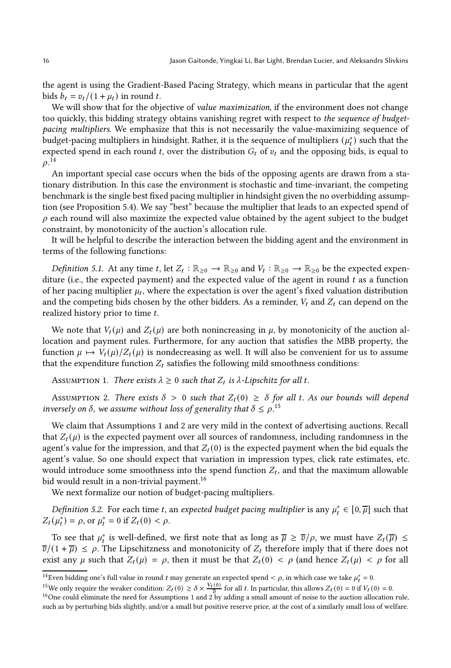the agent is using the Gradient-Based Pacing Strategy, which means in particular that the agent bids  $b_t = v_t/(1 + \mu_t)$  in round t.

We will show that for the objective of *value maximization*, if the environment does not change too quickly, this bidding strategy obtains vanishing regret with respect to the sequence of budgetpacing multipliers. We emphasize that this is not necessarily the value-maximizing sequence of budget-pacing multipliers in hindsight. Rather, it is the sequence of multipliers  $(\mu_t^*)$  such that the expected spend in each round t, over the distribution  $G_t$  of  $v_t$  and the opposing bids, is equal to  $\rho.^{\bar{14}}$  $\rho.^{\bar{14}}$  $\rho.^{\bar{14}}$ 

An important special case occurs when the bids of the opposing agents are drawn from a stationary distribution. In this case the environment is stochastic and time-invariant, the competing benchmark is the single best fixed pacing multiplier in hindsight given the no overbidding assumption (see [Proposition 5.4\)](#page-17-1). We say "best" because the multiplier that leads to an expected spend of  $\rho$  each round will also maximize the expected value obtained by the agent subject to the budget constraint, by monotonicity of the auction's allocation rule.

It will be helpful to describe the interaction between the bidding agent and the environment in terms of the following functions:

Definition 5.1. At any time t, let  $Z_t : \mathbb{R}_{\geq 0} \to \mathbb{R}_{\geq 0}$  and  $V_t : \mathbb{R}_{\geq 0} \to \mathbb{R}_{\geq 0}$  be the expected expenditure (i.e., the expected payment) and the expected value of the agent in round  $t$  as a function of her pacing multiplier  $\mu_t$ , where the expectation is over the agent's fixed valuation distribution and the competing bids chosen by the other bidders. As a reminder,  $V_t$  and  $Z_t$  can depend on the realized history prior to time t.

We note that  $V_t(\mu)$  and  $Z_t(\mu)$  are both nonincreasing in  $\mu$ , by monotonicity of the auction allocation and payment rules. Furthermore, for any auction that satisfies the MBB property, the function  $\mu \mapsto V_t(\mu)/Z_t(\mu)$  is nondecreasing as well. It will also be convenient for us to assume that the expenditure function  $Z_t$  satisfies the following mild smoothness conditions:

<span id="page-16-2"></span>Assumption 1. There exists  $\lambda \geq 0$  such that  $Z_t$  is  $\lambda$ -Lipschitz for all t.

<span id="page-16-3"></span>Assumption 2. There exists  $\delta > 0$  such that  $Z_t(0) \geq \delta$  for all t. As our bounds will depend inversely on  $\delta$ , we assume without loss of generality that  $\delta \leq \rho$ .<sup>[15](#page-16-1)</sup>

We claim that Assumptions [1](#page-16-2) and [2](#page-16-3) are very mild in the context of advertising auctions. Recall that  $Z_t(\mu)$  is the expected payment over all sources of randomness, including randomness in the agent's value for the impression, and that  $Z_t(0)$  is the expected payment when the bid equals the agent's value. So one should expect that variation in impression types, click rate estimates, etc. would introduce some smoothness into the spend function  $Z_t$ , and that the maximum allowable bid would result in a non-trivial payment.<sup>[16](#page-16-4)</sup>

We next formalize our notion of budget-pacing multipliers.

Definition 5.2. For each time t, an expected budget pacing multiplier is any  $\mu_t^* \in [0, \overline{\mu}]$  such that  $Z_t(\mu_t^*) = \rho$ , or  $\mu_t^* = 0$  if  $Z_t(0) < \rho$ .

To see that  $\mu_t^*$  is well-defined, we first note that as long as  $\overline{\mu} \ge \overline{v}/\rho$ , we must have  $Z_t(\overline{\mu}) \le$  $\overline{v}/(1 + \overline{\mu}) \leq \rho$ . The Lipschitzness and monotonicity of  $Z_t$  therefore imply that if there does not exist any  $\mu$  such that  $Z_t(\mu) = \rho$ , then it must be that  $Z_t(0) < \rho$  (and hence  $Z_t(\mu) < \rho$  for all

<sup>&</sup>lt;sup>14</sup>Even bidding one's full value in round *t* may generate an expected spend <  $\rho$ , in which case we take  $\mu_t^* = 0$ .

<span id="page-16-0"></span><sup>&</sup>lt;sup>15</sup>We only require the weaker condition:  $Z_t(0) \ge \delta \times \frac{V_t(0)}{\overline{v}}$  for all t. In particular, this allows  $Z_t(0) = 0$  if  $V_t(0) = 0$ .

<span id="page-16-4"></span><span id="page-16-1"></span><sup>&</sup>lt;sup>16</sup>One could eliminate the need for Assumptions [1](#page-16-2) and [2](#page-16-3) by adding a small amount of noise to the auction allocation rule, such as by perturbing bids slightly, and/or a small but positive reserve price, at the cost of a similarly small loss of welfare.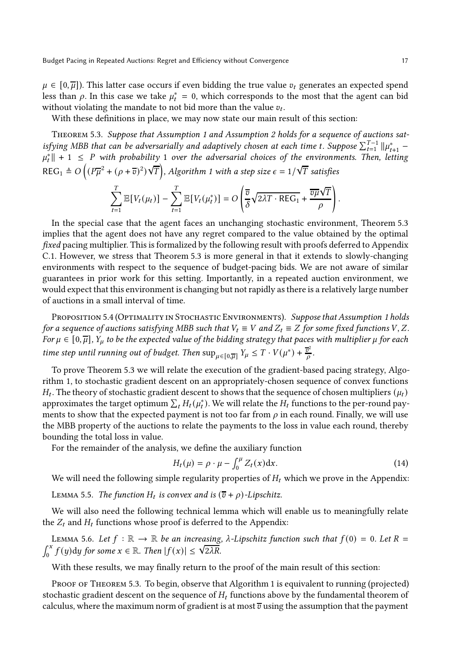$\mu \in [0, \overline{\mu}]$ ). This latter case occurs if even bidding the true value  $v_t$  generates an expected spend less than  $\rho$ . In this case we take  $\mu_t^* = 0$ , which corresponds to the most that the agent can bid without violating the mandate to not bid more than the value  $v_t$ .

<span id="page-17-2"></span>With these definitions in place, we may now state our main result of this section:

Theorem 5.3. Suppose that [Assumption 1](#page-16-2) and [Assumption 2](#page-16-3) holds for a sequence of auctions satisfying MBB that can be adversarially and adaptively chosen at each time t. Suppose  $\sum_{t=1}^{T-1} || \mu_{t+1}^* \|\mu_t^*\| + 1 \leq P$  with probability 1 over the adversarial choices of the environments. Then, letting REG<sub>1</sub>  $\triangleq$  O  $\left((P\overline{\mu}^2 + (\rho + \overline{v})^2)\right)$  $\sqrt{T}$ ), Algorithm [1](#page-9-1) with a step size  $\epsilon = 1/\sqrt{T}$  satisfies

$$
\sum_{t=1}^{T} \mathbb{E}[V_t(\mu_t)] - \sum_{t=1}^{T} \mathbb{E}[V_t(\mu_t^*)] = O\left(\frac{\overline{v}}{\delta} \sqrt{2\lambda T \cdot \text{REG}_1} + \frac{\overline{v\mu}\sqrt{T}}{\rho}\right)
$$

In the special case that the agent faces an unchanging stochastic environment, [Theorem 5.3](#page-17-2) implies that the agent does not have any regret compared to the value obtained by the optimal fixed pacing multiplier. This is formalized by the following result with proofs deferred to Appendix [C.1.](#page-24-0) However, we stress that [Theorem 5.3](#page-17-2) is more general in that it extends to slowly-changing environments with respect to the sequence of budget-pacing bids. We are not aware of similar guarantees in prior work for this setting. Importantly, in a repeated auction environment, we would expect that this environment is changing but not rapidly as there is a relatively large number of auctions in a small interval of time.

<span id="page-17-1"></span>PROPOSITION 5.4 (OPTIMALITY IN STOCHASTIC ENVIRONMENTS). Suppose that [Assumption 1](#page-16-2) holds for a sequence of auctions satisfying MBB such that  $V_t \equiv V$  and  $Z_t \equiv Z$  for some fixed functions  $V, Z$ . For  $\mu \in [0, \overline{\mu}]$ ,  $Y_{\mu}$  to be the expected value of the bidding strategy that paces with multiplier  $\mu$  for each time step until running out of budget. Then  $\sup_{\mu \in [0,\overline{\mu}]} Y_{\mu} \leq T \cdot V(\mu^*) + \frac{\overline{v}^2}{\rho}$  $\frac{\sigma^2}{\rho}$ .

To prove Theorem [5.3](#page-17-2) we will relate the execution of the gradient-based pacing strategy, Algorithm [1,](#page-9-1) to stochastic gradient descent on an appropriately-chosen sequence of convex functions  $H_t$ . The theory of stochastic gradient descent to shows that the sequence of chosen multipliers  $(\mu_t)$ approximates the target optimum  $\sum_t H_t(\mu_t^*)$ . We will relate the  $H_t$  functions to the per-round payments to show that the expected payment is not too far from  $\rho$  in each round. Finally, we will use the MBB property of the auctions to relate the payments to the loss in value each round, thereby bounding the total loss in value.

For the remainder of the analysis, we define the auxiliary function

<span id="page-17-0"></span>
$$
H_t(\mu) = \rho \cdot \mu - \int_0^{\mu} Z_t(x) dx.
$$
 (14)

<span id="page-17-3"></span>We will need the following simple regularity properties of  $H_t$  which we prove in the Appendix:

LEMMA 5.5. The function  $H_t$  is convex and is  $(\overline{v} + \rho)$ -Lipschitz.

<span id="page-17-4"></span>We will also need the following technical lemma which will enable us to meaningfully relate the  $Z_t$  and  $H_t$  functions whose proof is deferred to the Appendix:

LEMMA 5.6. Let  $f : \mathbb{R} \to \mathbb{R}$  be an increasing,  $\lambda$ -Lipschitz function such that  $f(0) = 0$ . Let  $R =$  $\int_0^x f(y) dy$  for some  $x \in \mathbb{R}$ . Then  $|f(x)| \leq \sqrt{2\lambda R}$ .

With these results, we may finally return to the proof of the main result of this section:

PROOF OF THEOREM 5.3. To begin, observe that Algorithm [1](#page-9-1) is equivalent to running (projected) stochastic gradient descent on the sequence of  $H_t$  functions above by the fundamental theorem of calculus, where the maximum norm of gradient is at most  $\overline{v}$  using the assumption that the payment

.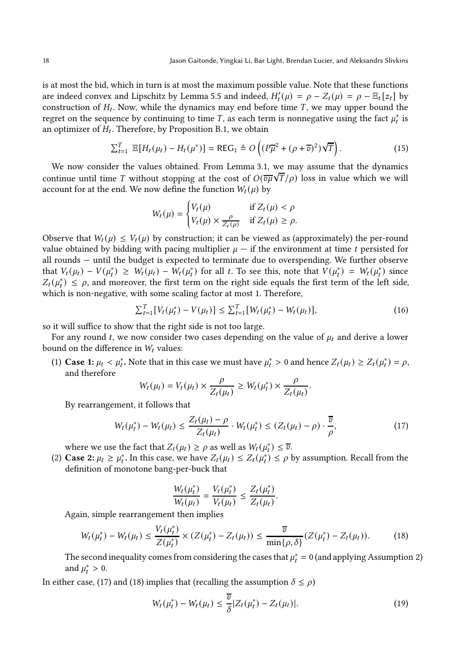is at most the bid, which in turn is at most the maximum possible value. Note that these functions are indeed convex and Lipschitz by [Lemma 5.5](#page-17-3) and indeed,  $H'_t(\mu) = \rho - Z_t(\mu) = \rho - \mathbb{E}_t[z_t]$  by construction of  $H_t$ . Now, while the dynamics may end before time  $T$ , we may upper bound the regret on the sequence by continuing to time  $T$ , as each term is nonnegative using the fact  $\mu_t^*$  is an optimizer of  $H_t$ . Therefore, by [Proposition B.1,](#page-23-1) we obtain

<span id="page-18-4"></span>
$$
\sum_{t=1}^{T} \mathbb{E}[H_t(\mu_t) - H_t(\mu^*)] = \text{REG}_1 \triangleq O\left((P\overline{\mu}^2 + (\rho + \overline{\sigma})^2)\sqrt{T}\right).
$$
 (15)

We now consider the values obtained. From [Lemma 3.1,](#page-9-3) we may assume that the dynamics continue until time T without stopping at the cost of  $O(\overline{v\mu}\sqrt{T}/\rho)$  loss in value which we will account for at the end. We now define the function  $W_t(\mu)$  by

$$
W_t(\mu) = \begin{cases} V_t(\mu) & \text{if } Z_t(\mu) < \rho \\ V_t(\mu) \times \frac{\rho}{Z_t(\mu)} & \text{if } Z_t(\mu) \ge \rho. \end{cases}
$$

Observe that  $W_t(\mu) \leq V_t(\mu)$  by construction; it can be viewed as (approximately) the per-round value obtained by bidding with pacing multiplier  $\mu$  — if the environment at time t persisted for all rounds — until the budget is expected to terminate due to overspending. We further observe that  $V_t(\mu_t) - V(\mu_t^*) \geq W_t(\mu_t) - W_t(\mu_t^*)$  for all t. To see this, note that  $V(\mu_t^*) = W_t(\mu_t^*)$  since  $Z_t(\mu_t^*) \leq \rho$ , and moreover, the first term on the right side equals the first term of the left side, which is non-negative, with some scaling factor at most 1. Therefore,

<span id="page-18-2"></span>
$$
\sum_{t=1}^{T} [V_t(\mu_t^*) - V(\mu_t)] \leq \sum_{t=1}^{T} [W_t(\mu_t^*) - W_t(\mu_t)], \qquad (16)
$$

so it will suffice to show that the right side is not too large.

For any round t, we now consider two cases depending on the value of  $\mu_t$  and derive a lower bound on the difference in  $W_t$  values:

(1) Case 1:  $\mu_t < \mu_t^*$ . Note that in this case we must have  $\mu_t^* > 0$  and hence  $Z_t(\mu_t) \geq Z_t(\mu_t^*) = \rho$ , and therefore

$$
W_t(\mu_t) = V_t(\mu_t) \times \frac{\rho}{Z_t(\mu_t)} \ge W_t(\mu_t^*) \times \frac{\rho}{Z_t(\mu_t)}.
$$

By rearrangement, it follows that

<span id="page-18-0"></span>
$$
W_t(\mu_t^*) - W_t(\mu_t) \le \frac{Z_t(\mu_t) - \rho}{Z_t(\mu_t)} \cdot W_t(\mu_t^*) \le (Z_t(\mu_t) - \rho) \cdot \frac{\overline{v}}{\rho},\tag{17}
$$

where we use the fact that  $Z_t(\mu_t) \ge \rho$  as well as  $W_t(\mu_t^*) \le \overline{v}$ .

(2) Case 2:  $\mu_t \ge \mu_t^*$ . In this case, we have  $Z_t(\mu_t) \le Z_t(\mu_t^*) \le \rho$  by assumption. Recall from the definition of monotone bang-per-buck that

$$
\frac{W_t(\mu_t^*)}{W_t(\mu_t)} = \frac{V_t(\mu_t^*)}{V_t(\mu_t)} \leq \frac{Z_t(\mu_t^*)}{Z_t(\mu_t)}.
$$

Again, simple rearrangement then implies

<span id="page-18-1"></span>
$$
W_t(\mu_t^*) - W_t(\mu_t) \le \frac{V_t(\mu_t^*)}{Z(\mu_t^*)} \times (Z(\mu_t^*) - Z_t(\mu_t)) \le \frac{\overline{v}}{\min\{\rho, \delta\}} (Z(\mu_t^*) - Z_t(\mu_t)). \tag{18}
$$

The second inequality comes from considering the cases that  $\mu_t^* = 0$  (and applying [Assumption 2\)](#page-16-3) and  $\mu_t^* > 0$ .

In either case, [\(17\)](#page-18-0) and [\(18\)](#page-18-1) implies that (recalling the assumption  $\delta \le \rho$ )

<span id="page-18-3"></span>
$$
W_t(\mu_t^*) - W_t(\mu_t) \le \frac{\overline{v}}{\delta} |Z_t(\mu_t^*) - Z_t(\mu_t)|. \tag{19}
$$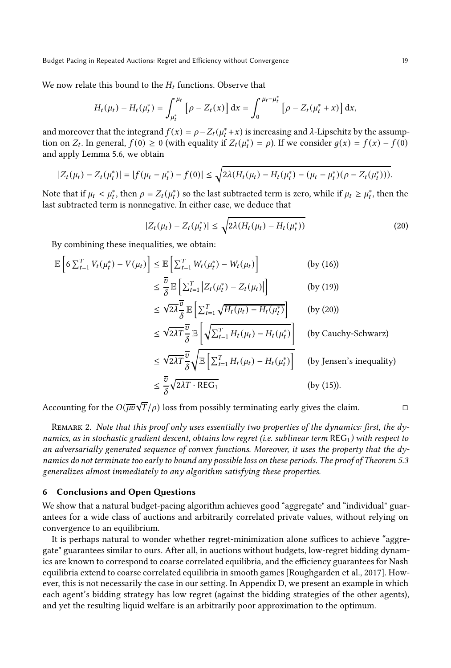We now relate this bound to the  $H_t$  functions. Observe that

$$
H_t(\mu_t) - H_t(\mu_t^*) = \int_{\mu_t^*}^{\mu_t} \left[ \rho - Z_t(x) \right] dx = \int_0^{\mu_t - \mu_t^*} \left[ \rho - Z_t(\mu_t^* + x) \right] dx,
$$

and moreover that the integrand  $f(x) = \rho - Z_t(\mu_t^* + x)$  is increasing and  $\lambda$ -Lipschitz by the assumption on  $Z_t$ . In general,  $f(0) \ge 0$  (with equality if  $Z_t(\mu_t^*) = \rho$ ). If we consider  $g(x) = f(x) - f(0)$ and apply [Lemma 5.6,](#page-17-4) we obtain

$$
|Z_t(\mu_t) - Z_t(\mu_t^*)| = |f(\mu_t - \mu_t^*) - f(0)| \le \sqrt{2\lambda (H_t(\mu_t) - H_t(\mu_t^*) - (\mu_t - \mu_t^*)(\rho - Z_t(\mu_t^*)))}.
$$

Note that if  $\mu_t < \mu_t^*$ , then  $\rho = Z_t(\mu_t^*)$  so the last subtracted term is zero, while if  $\mu_t \ge \mu_t^*$ , then the last subtracted term is nonnegative. In either case, we deduce that

<span id="page-19-0"></span>
$$
|Z_t(\mu_t) - Z_t(\mu_t^*)| \le \sqrt{2\lambda (H_t(\mu_t) - H_t(\mu_t^*))}
$$
\n(20)

By combining these inequalities, we obtain:

$$
\mathbb{E}\left[6\sum_{t=1}^{T}V_{t}(\mu_{t}^{*})-V(\mu_{t})\right] \leq \mathbb{E}\left[\sum_{t=1}^{T}W_{t}(\mu_{t}^{*})-W_{t}(\mu_{t})\right] \qquad \text{(by (16))}
$$
\n
$$
\leq \frac{\overline{v}}{\delta} \mathbb{E}\left[\sum_{t=1}^{T}|Z_{t}(\mu_{t}^{*})-Z_{t}(\mu_{t})|\right] \qquad \text{(by (19))}
$$
\n
$$
\leq \sqrt{2\lambda}\frac{\overline{v}}{\delta} \mathbb{E}\left[\sum_{t=1}^{T}\sqrt{H_{t}(\mu_{t})-H_{t}(\mu_{t}^{*})}\right] \qquad \text{(by (20))}
$$
\n
$$
\leq \sqrt{2\lambda T}\frac{\overline{v}}{\delta} \mathbb{E}\left[\sqrt{\sum_{t=1}^{T}H_{t}(\mu_{t})-H_{t}(\mu_{t}^{*})}\right] \qquad \text{(by Cauchy-Schwarz)}
$$
\n
$$
\leq \sqrt{2\lambda T}\frac{\overline{v}}{\delta}\sqrt{\mathbb{E}\left[\sum_{t=1}^{T}H_{t}(\mu_{t})-H_{t}(\mu_{t}^{*})\right]} \qquad \text{(by Jensen's inequality)}
$$
\n
$$
\leq \frac{\overline{v}}{\delta}\sqrt{2\lambda T\cdot\text{REG}_{1}} \qquad \text{(by (15)).}
$$

Accounting for the  $O(\overline{\mu v}\sqrt{T}/\rho)$  loss from possibly terminating early gives the claim.

REMARK 2. Note that this proof only uses essentially two properties of the dynamics: first, the dynamics, as in stochastic gradient descent, obtains low regret (i.e. sublinear term  $REG<sub>1</sub>$ ) with respect to an adversarially generated sequence of convex functions. Moreover, it uses the property that the dy-namics do not terminate too early to bound any possible loss on these periods. The proof of [Theorem 5.3](#page-17-2) generalizes almost immediately to any algorithm satisfying these properties.

# 6 Conclusions and Open Questions

We show that a natural budget-pacing algorithm achieves good "aggregate" and "individual" guarantees for a wide class of auctions and arbitrarily correlated private values, without relying on convergence to an equilibrium.

It is perhaps natural to wonder whether regret-minimization alone suffices to achieve "aggregate" guarantees similar to ours. After all, in auctions without budgets, low-regret bidding dynamics are known to correspond to coarse correlated equilibria, and the efficiency guarantees for Nash equilibria extend to coarse correlated equilibria in smooth games [Roughgarden et al., 2017]. However, this is not necessarily the case in our setting. In Appendix [D,](#page-25-0) we present an example in which each agent's bidding strategy has low regret (against the bidding strategies of the other agents), and yet the resulting liquid welfare is an arbitrarily poor approximation to the optimum.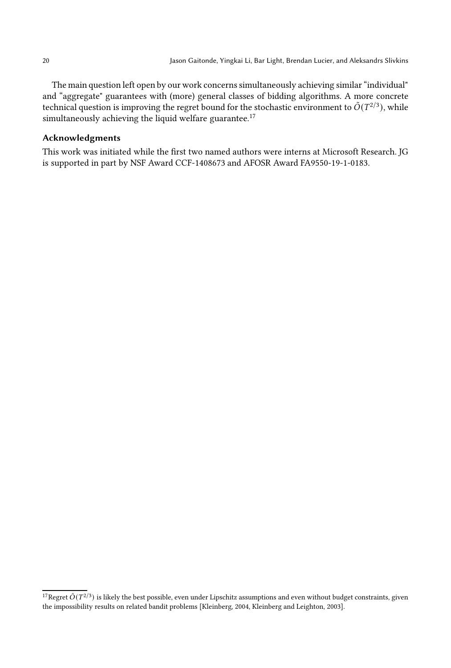The main question left open by our work concerns simultaneously achieving similar "individual" and "aggregate" guarantees with (more) general classes of bidding algorithms. A more concrete technical question is improving the regret bound for the stochastic environment to  $\tilde{O}(T^{2/3})$ , while simultaneously achieving the liquid welfare guarantee.<sup>[17](#page-20-0)</sup>

# Acknowledgments

This work was initiated while the first two named authors were interns at Microsoft Research. JG is supported in part by NSF Award CCF-1408673 and AFOSR Award FA9550-19-1-0183.

<span id="page-20-0"></span><sup>&</sup>lt;sup>17</sup>Regret  $\tilde{O}(T^{2/3})$  is likely the best possible, even under Lipschitz assumptions and even without budget constraints, given the impossibility results on related bandit problems [\[Kleinberg, 2004](#page-22-8), [Kleinberg and Leighton, 2003](#page-22-9)].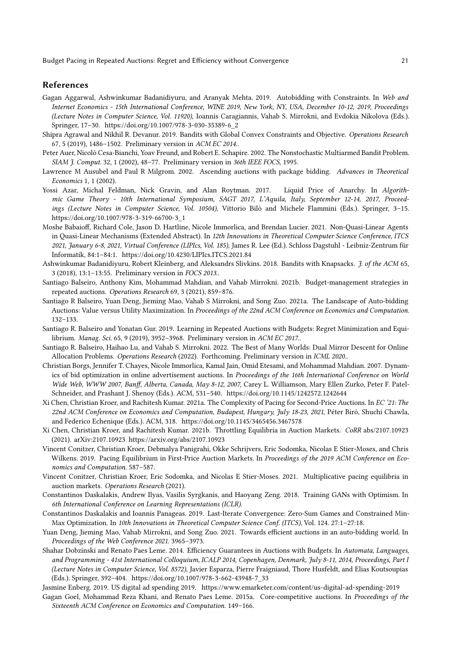#### References

- Gagan Aggarwal, Ashwinkumar Badanidiyuru, and Aranyak Mehta. 2019. Autobidding with Constraints. In Web and Internet Economics - 15th International Conference, WINE 2019, New York, NY, USA, December 10-12, 2019, Proceedings (Lecture Notes in Computer Science, Vol. 11920), Ioannis Caragiannis, Vahab S. Mirrokni, and Evdokia Nikolova (Eds.). Springer, 17–30. [https://doi.org/10.1007/978-3-030-35389-6\\_2](https://doi.org/10.1007/978-3-030-35389-6_2)
- <span id="page-21-11"></span>Shipra Agrawal and Nikhil R. Devanur. 2019. Bandits with Global Convex Constraints and Objective. Operations Research 67, 5 (2019), 1486–1502. Preliminary version in ACM EC 2014..
- <span id="page-21-6"></span>Peter Auer, Nicolò Cesa-Bianchi, Yoav Freund, and Robert E. Schapire. 2002. The Nonstochastic Multiarmed Bandit Problem. SIAM J. Comput. 32, 1 (2002), 48–77. Preliminary version in 36th IEEE FOCS, 1995.
- <span id="page-21-2"></span>Lawrence M Ausubel and Paul R Milgrom. 2002. Ascending auctions with package bidding. Advances in Theoretical Economics 1, 1 (2002).
- Yossi Azar, Michal Feldman, Nick Gravin, and Alan Roytman. 2017. Liquid Price of Anarchy. In Algorithmic Game Theory - 10th International Symposium, SAGT 2017, L'Aquila, Italy, September 12-14, 2017, Proceedings (Lecture Notes in Computer Science, Vol. 10504), Vittorio Bilò and Michele Flammini (Eds.). Springer, 3–15. [https://doi.org/10.1007/978-3-319-66700-3\\_1](https://doi.org/10.1007/978-3-319-66700-3_1)
- Moshe Babaioff, Richard Cole, Jason D. Hartline, Nicole Immorlica, and Brendan Lucier. 2021. Non-Quasi-Linear Agents in Quasi-Linear Mechanisms (Extended Abstract). In 12th Innovations in Theoretical Computer Science Conference, ITCS 2021, January 6-8, 2021, Virtual Conference (LIPIcs, Vol. 185), James R. Lee (Ed.). Schloss Dagstuhl - Leibniz-Zentrum für Informatik, 84:1–84:1.<https://doi.org/10.4230/LIPIcs.ITCS.2021.84>
- <span id="page-21-12"></span>Ashwinkumar Badanidiyuru, Robert Kleinberg, and Aleksandrs Slivkins. 2018. Bandits with Knapsacks. J. of the ACM 65, 3 (2018), 13:1–13:55. Preliminary version in FOCS 2013..
- <span id="page-21-4"></span>Santiago Balseiro, Anthony Kim, Mohammad Mahdian, and Vahab Mirrokni. 2021b. Budget-management strategies in repeated auctions. Operations Research 69, 3 (2021), 859–876.
- <span id="page-21-9"></span>Santiago R Balseiro, Yuan Deng, Jieming Mao, Vahab S Mirrokni, and Song Zuo. 2021a. The Landscape of Auto-bidding Auctions: Value versus Utility Maximization. In Proceedings of the 22nd ACM Conference on Economics and Computation. 132–133.
- <span id="page-21-1"></span>Santiago R. Balseiro and Yonatan Gur. 2019. Learning in Repeated Auctions with Budgets: Regret Minimization and Equilibrium. Manag. Sci. 65, 9 (2019), 3952–3968. Preliminary version in ACM EC 2017..
- <span id="page-21-8"></span>Santiago R. Balseiro, Haihao Lu, and Vahab S. Mirrokni. 2022. The Best of Many Worlds: Dual Mirror Descent for Online Allocation Problems. Operations Research (2022). Forthcoming. Preliminary version in ICML 2020..
- Christian Borgs, Jennifer T. Chayes, Nicole Immorlica, Kamal Jain, Omid Etesami, and Mohammad Mahdian. 2007. Dynamics of bid optimization in online advertisement auctions. In Proceedings of the 16th International Conference on World Wide Web, WWW 2007, Banff, Alberta, Canada, May 8-12, 2007, Carey L. Williamson, Mary Ellen Zurko, Peter F. Patel-Schneider, and Prashant J. Shenoy (Eds.). ACM, 531–540.<https://doi.org/10.1145/1242572.1242644>
- Xi Chen, Christian Kroer, and Rachitesh Kumar. 2021a. The Complexity of Pacing for Second-Price Auctions. In EC '21: The 22nd ACM Conference on Economics and Computation, Budapest, Hungary, July 18-23, 2021, Péter Biró, Shuchi Chawla, and Federico Echenique (Eds.). ACM, 318.<https://doi.org/10.1145/3465456.3467578>
- Xi Chen, Christian Kroer, and Rachitesh Kumar. 2021b. Throttling Equilibria in Auction Markets. CoRR abs/2107.10923 (2021). arXiv[:2107.10923 https://arxiv.org/abs/2107.10923](https://arxiv.org/abs/2107.10923)
- <span id="page-21-7"></span>Vincent Conitzer, Christian Kroer, Debmalya Panigrahi, Okke Schrijvers, Eric Sodomka, Nicolas E Stier-Moses, and Chris Wilkens. 2019. Pacing Equilibrium in First-Price Auction Markets. In Proceedings of the 2019 ACM Conference on Economics and Computation. 587–587.
- <span id="page-21-5"></span>Vincent Conitzer, Christian Kroer, Eric Sodomka, and Nicolas E Stier-Moses. 2021. Multiplicative pacing equilibria in auction markets. Operations Research (2021).
- <span id="page-21-13"></span>Constantinos Daskalakis, Andrew Ilyas, Vasilis Syrgkanis, and Haoyang Zeng. 2018. Training GANs with Optimism. In 6th International Conference on Learning Representations (ICLR).
- <span id="page-21-14"></span>Constantinos Daskalakis and Ioannis Panageas. 2019. Last-Iterate Convergence: Zero-Sum Games and Constrained Min-Max Optimization. In 10th Innovations in Theoretical Computer Science Conf. (ITCS), Vol. 124. 27:1–27:18.
- <span id="page-21-10"></span>Yuan Deng, Jieming Mao, Vahab Mirrokni, and Song Zuo. 2021. Towards efficient auctions in an auto-bidding world. In Proceedings of the Web Conference 2021. 3965–3973.
- Shahar Dobzinski and Renato Paes Leme. 2014. Efficiency Guarantees in Auctions with Budgets. In Automata, Languages, and Programming - 41st International Colloquium, ICALP 2014, Copenhagen, Denmark, July 8-11, 2014, Proceedings, Part I (Lecture Notes in Computer Science, Vol. 8572), Javier Esparza, Pierre Fraigniaud, Thore Husfeldt, and Elias Koutsoupias (Eds.). Springer, 392–404. [https://doi.org/10.1007/978-3-662-43948-7\\_33](https://doi.org/10.1007/978-3-662-43948-7_33)

<span id="page-21-0"></span>Jasmine Enberg. 2019. US digital ad spending 2019.<https://www.emarketer.com/content/us-digital-ad-spending-2019>

<span id="page-21-3"></span>Gagan Goel, Mohammad Reza Khani, and Renato Paes Leme. 2015a. Core-competitive auctions. In Proceedings of the Sixteenth ACM Conference on Economics and Computation. 149–166.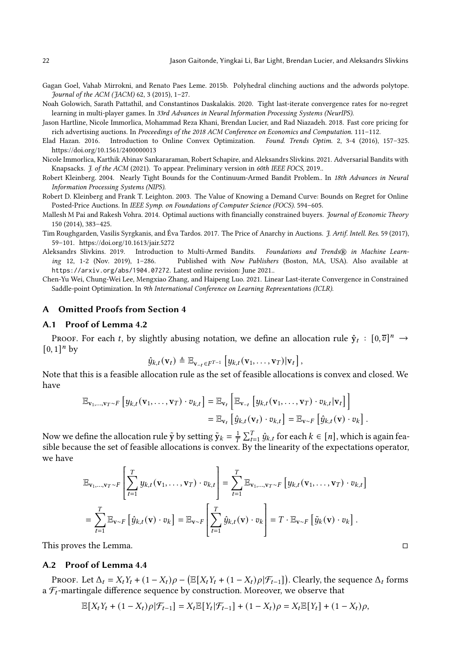- <span id="page-22-6"></span>Gagan Goel, Vahab Mirrokni, and Renato Paes Leme. 2015b. Polyhedral clinching auctions and the adwords polytope. Journal of the ACM (JACM) 62, 3 (2015), 1–27.
- <span id="page-22-4"></span>Noah Golowich, Sarath Pattathil, and Constantinos Daskalakis. 2020. Tight last-iterate convergence rates for no-regret learning in multi-player games. In 33rd Advances in Neural Information Processing Systems (NeurIPS).
- <span id="page-22-0"></span>Jason Hartline, Nicole Immorlica, Mohammad Reza Khani, Brendan Lucier, and Rad Niazadeh. 2018. Fast core pricing for rich advertising auctions. In Proceedings of the 2018 ACM Conference on Economics and Computation. 111–112.
- Elad Hazan. 2016. Introduction to Online Convex Optimization. Found. Trends Optim. 2, 3-4 (2016), 157-325. <https://doi.org/10.1561/2400000013>
- <span id="page-22-2"></span>Nicole Immorlica, Karthik Abinav Sankararaman, Robert Schapire, and Aleksandrs Slivkins. 2021. Adversarial Bandits with Knapsacks. J. of the ACM (2021). To appear. Preliminary version in 60th IEEE FOCS, 2019..
- <span id="page-22-8"></span>Robert Kleinberg. 2004. Nearly Tight Bounds for the Continuum-Armed Bandit Problem.. In 18th Advances in Neural Information Processing Systems (NIPS).
- <span id="page-22-9"></span>Robert D. Kleinberg and Frank T. Leighton. 2003. The Value of Knowing a Demand Curve: Bounds on Regret for Online Posted-Price Auctions. In IEEE Symp. on Foundations of Computer Science (FOCS). 594–605.
- <span id="page-22-1"></span>Mallesh M Pai and Rakesh Vohra. 2014. Optimal auctions with financially constrained buyers. Journal of Economic Theory 150 (2014), 383–425.
- Tim Roughgarden, Vasilis Syrgkanis, and Éva Tardos. 2017. The Price of Anarchy in Auctions. J. Artif. Intell. Res. 59 (2017), 59–101.<https://doi.org/10.1613/jair.5272>
- <span id="page-22-3"></span>Aleksandrs Slivkins. 2019. Introduction to Multi-Armed Bandits. Foundations and Trends® in Machine Learning 12, 1-2 (Nov. 2019), 1–286. Published with Now Publishers (Boston, MA, USA). Also available at https://arxiv.org/abs/1904.07272. Latest online revision: June 2021..
- <span id="page-22-7"></span><span id="page-22-5"></span>Chen-Yu Wei, Chung-Wei Lee, Mengxiao Zhang, and Haipeng Luo. 2021. Linear Last-iterate Convergence in Constrained Saddle-point Optimization. In 9th International Conference on Learning Representations (ICLR).

## A Omitted Proofs from Section [4](#page-11-1)

#### A.1 Proof of Lemma [4.2](#page-11-0)

PROOF. For each *t*, by slightly abusing notation, we define an allocation rule  $\hat{y}_t : [0, \overline{v}]^n \to$  $[0,1]^n$  by

$$
\hat{y}_{k,t}(\mathbf{v}_t) \triangleq \mathbb{E}_{\mathbf{v}_{-t} \in F^{T-1}} \left[ y_{k,t}(\mathbf{v}_1,\ldots,\mathbf{v}_T) | \mathbf{v}_t \right],
$$

Note that this is a feasible allocation rule as the set of feasible allocations is convex and closed. We have

$$
\mathbb{E}_{\mathbf{v}_1,\ldots,\mathbf{v}_T\sim F}\left[y_{k,t}(\mathbf{v}_1,\ldots,\mathbf{v}_T)\cdot v_{k,t}\right] = \mathbb{E}_{\mathbf{v}_t}\left[\mathbb{E}_{\mathbf{v}_{-t}}\left[y_{k,t}(\mathbf{v}_1,\ldots,\mathbf{v}_T)\cdot v_{k,t}|\mathbf{v}_t\right]\right]
$$
  
=  $\mathbb{E}_{\mathbf{v}_t}\left[\hat{y}_{k,t}(\mathbf{v}_t)\cdot v_{k,t}\right] = \mathbb{E}_{\mathbf{v}\sim F}\left[\hat{y}_{k,t}(\mathbf{v})\cdot v_k\right].$ 

Now we define the allocation rule  $\tilde{y}$  by setting  $\tilde{y}_k = \frac{1}{T} \sum_{t=1}^T \hat{y}_{k,t}$  for each  $k \in [n]$ , which is again feasible because the set of feasible allocations is convex. By the linearity of the expectations operator, we have

$$
\mathbb{E}_{\mathbf{v}_1,\dots,\mathbf{v}_T\sim F}\left[\sum_{t=1}^T y_{k,t}(\mathbf{v}_1,\dots,\mathbf{v}_T)\cdot v_{k,t}\right] = \sum_{t=1}^T \mathbb{E}_{\mathbf{v}_1,\dots,\mathbf{v}_T\sim F}\left[y_{k,t}(\mathbf{v}_1,\dots,\mathbf{v}_T)\cdot v_{k,t}\right]
$$

$$
= \sum_{t=1}^T \mathbb{E}_{\mathbf{v}\sim F}\left[\hat{y}_{k,t}(\mathbf{v})\cdot v_k\right] = \mathbb{E}_{\mathbf{v}\sim F}\left[\sum_{t=1}^T \hat{y}_{k,t}(\mathbf{v})\cdot v_k\right] = T \cdot \mathbb{E}_{\mathbf{v}\sim F}\left[\tilde{y}_k(\mathbf{v})\cdot v_k\right].
$$

This proves the Lemma.

#### A.2 Proof of Lemma [4.4](#page-12-1)

PROOF. Let  $\Delta_t = X_t Y_t + (1 - X_t)\rho - (\mathbb{E}[X_t Y_t + (1 - X_t)\rho | \mathcal{F}_{t-1}])$ . Clearly, the sequence  $\Delta_t$  forms a  $\mathcal{F}_t$ -martingale difference sequence by construction. Moreover, we observe that

$$
\mathbb{E}[X_tY_t+(1-X_t)\rho|\mathcal{F}_{t-1}]=X_t\mathbb{E}[Y_t|\mathcal{F}_{t-1}]+(1-X_t)\rho=X_t\mathbb{E}[Y_t]+(1-X_t)\rho,
$$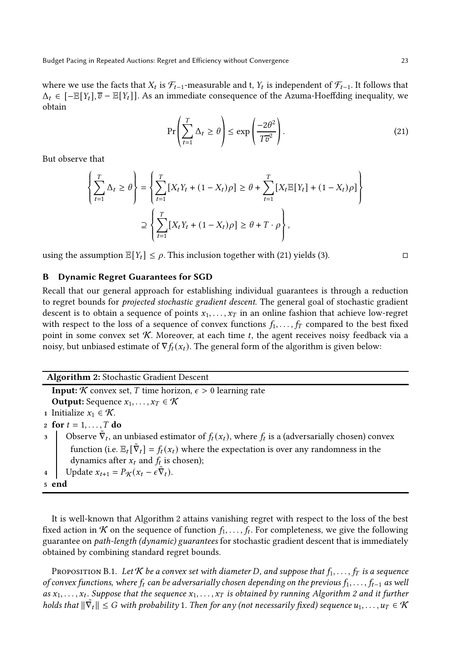where we use the facts that  $X_t$  is  $\mathcal{F}_{t-1}$ -measurable and t,  $Y_t$  is independent of  $\mathcal{F}_{t-1}$ . It follows that  $\Delta_t \in [-\mathbb{E}[Y_t], \overline{v} - \mathbb{E}[Y_t]]$ . As an immediate consequence of the Azuma-Hoeffding inequality, we obtain

<span id="page-23-2"></span>
$$
\Pr\left(\sum_{t=1}^{T} \Delta_t \ge \theta\right) \le \exp\left(\frac{-2\theta^2}{T\overline{v}^2}\right). \tag{21}
$$

But observe that

$$
\left\{\sum_{t=1}^{T} \Delta_t \ge \theta\right\} = \left\{\sum_{t=1}^{T} \left[X_t Y_t + (1 - X_t)\rho\right] \ge \theta + \sum_{t=1}^{T} \left[X_t \mathbb{E}[Y_t] + (1 - X_t)\rho\right]\right\}
$$

$$
\supseteq \left\{\sum_{t=1}^{T} \left[X_t Y_t + (1 - X_t)\rho\right] \ge \theta + T \cdot \rho\right\},\
$$

using the assumption  $\mathbb{E}[Y_t] \leq \rho$ . This inclusion together with [\(21\)](#page-23-2) yields [\(3\).](#page-12-3)

# <span id="page-23-0"></span>B Dynamic Regret Guarantees for SGD

Recall that our general approach for establishing individual guarantees is through a reduction to regret bounds for projected stochastic gradient descent. The general goal of stochastic gradient descent is to obtain a sequence of points  $x_1, \ldots, x_T$  in an online fashion that achieve low-regret with respect to the loss of a sequence of convex functions  $f_1, \ldots, f_T$  compared to the best fixed point in some convex set  $K$ . Moreover, at each time  $t$ , the agent receives noisy feedback via a noisy, but unbiased estimate of  $\nabla f_t(x_t)$ . The general form of the algorithm is given below:

#### <span id="page-23-3"></span>Algorithm 2: Stochastic Gradient Descent

**Input:**  $\mathcal K$  convex set, T time horizon,  $\epsilon > 0$  learning rate **Output:** Sequence  $x_1, \ldots, x_T \in \mathcal{K}$ 1 Initialize  $x_1 \in \mathcal{K}$ . 2 for  $t = 1, \ldots, T$  do 3 Observe  $\tilde{\nabla}_t$ , an unbiased estimator of  $f_t(x_t)$ , where  $f_t$  is a (adversarially chosen) convex function (i.e.  $\mathbb{E}_t[\tilde{\nabla}_t] = f_t(x_t)$  where the expectation is over any randomness in the dynamics after  $x_t$  and  $f_t$  is chosen); 4 Update  $x_{t+1} = P_{\mathcal{K}}(x_t - \epsilon \tilde{\nabla}_t).$ <sup>5</sup> end

It is well-known that [Algorithm 2](#page-23-3) attains vanishing regret with respect to the loss of the best fixed action in  $K$  on the sequence of function  $f_1, \ldots, f_t$ . For completeness, we give the following guarantee on path-length (dynamic) guarantees for stochastic gradient descent that is immediately obtained by combining standard regret bounds.

<span id="page-23-1"></span>PROPOSITION B.1. Let K be a convex set with diameter D, and suppose that  $f_1, \ldots, f_T$  is a sequence of convex functions, where  $f_t$  can be adversarially chosen depending on the previous  $f_1, \ldots, f_{t-1}$  as well as  $x_1, \ldots, x_t$ . Suppose that the sequence  $x_1, \ldots, x_T$  is obtained by running [Algorithm 2](#page-23-3) and it further holds that  $\|\tilde{\nabla}_t\|\leq G$  with probability 1. Then for any (not necessarily fixed) sequence  $u_1,\ldots,u_T\in\mathcal{K}$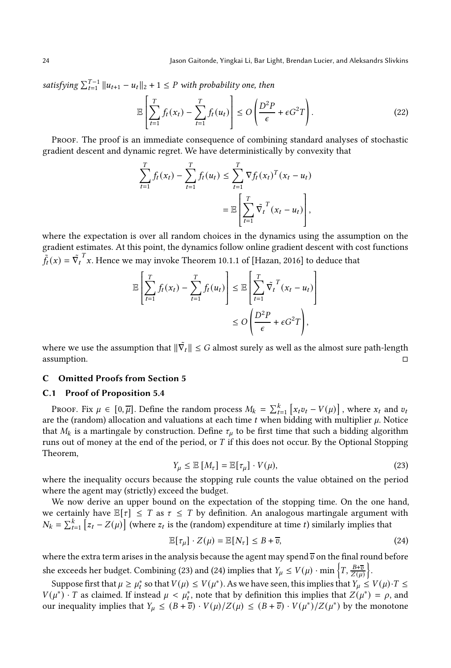satisfying  $\sum_{t=1}^{T-1} ||u_{t+1} - u_t||_2 + 1 \leq P$  with probability one, then

$$
\mathbb{E}\left[\sum_{t=1}^{T} f_t(x_t) - \sum_{t=1}^{T} f_t(u_t)\right] \le O\left(\frac{D^2 P}{\epsilon} + \epsilon G^2 T\right).
$$
\n(22)

Proof. The proof is an immediate consequence of combining standard analyses of stochastic gradient descent and dynamic regret. We have deterministically by convexity that

$$
\sum_{t=1}^{T} f_t(x_t) - \sum_{t=1}^{T} f_t(u_t) \leq \sum_{t=1}^{T} \nabla f_t(x_t)^T (x_t - u_t) \\
= \mathbb{E} \left[ \sum_{t=1}^{T} \tilde{\nabla}_t^T (x_t - u_t) \right],
$$

where the expectation is over all random choices in the dynamics using the assumption on the gradient estimates. At this point, the dynamics follow online gradient descent with cost functions  $\tilde{f}_t(x) = \tilde{\nabla_t}^T x$ . Hence we may invoke Theorem 10.1.1 of [Hazan, 2016] to deduce that

$$
\mathbb{E}\left[\sum_{t=1}^T f_t(x_t) - \sum_{t=1}^T f_t(u_t)\right] \leq \mathbb{E}\left[\sum_{t=1}^T \tilde{\nabla}_t^T (x_t - u_t)\right]
$$

$$
\leq O\left(\frac{D^2 P}{\epsilon} + \epsilon G^2 T\right),
$$

where we use the assumption that  $\|\tilde{\nabla_t}\| \leq G$  almost surely as well as the almost sure path-length assumption.  $\Box$ 

#### <span id="page-24-0"></span>C Omitted Proofs from Section 5

#### C.1 Proof of [Proposition 5.4](#page-17-1)

PROOF. Fix  $\mu \in [0, \overline{\mu}]$ . Define the random process  $M_k = \sum_{t=1}^k [x_t v_t - V(\mu)]$ , where  $x_t$  and  $v_t$ are the (random) allocation and valuations at each time  $t$  when bidding with multiplier  $\mu$ . Notice that  $M_k$  is a martingale by construction. Define  $\tau_\mu$  to be first time that such a bidding algorithm runs out of money at the end of the period, or  $T$  if this does not occur. By the Optional Stopping Theorem,

<span id="page-24-1"></span>
$$
Y_{\mu} \leq \mathbb{E}\left[M_{\tau}\right] = \mathbb{E}\left[\tau_{\mu}\right] \cdot V(\mu),\tag{23}
$$

where the inequality occurs because the stopping rule counts the value obtained on the period where the agent may (strictly) exceed the budget.

We now derive an upper bound on the expectation of the stopping time. On the one hand, we certainly have  $\mathbb{E}[\tau] \leq T$  as  $\tau \leq T$  by definition. An analogous martingale argument with  $N_k = \sum_{t=1}^k \left[ z_t - Z(\mu) \right]$  (where  $z_t$  is the (random) expenditure at time t) similarly implies that

<span id="page-24-2"></span>
$$
\mathbb{E}[\tau_{\mu}] \cdot Z(\mu) = \mathbb{E}[N_{\tau}] \le B + \overline{v}, \tag{24}
$$

where the extra term arises in the analysis because the agent may spend  $\overline{v}$  on the final round before she exceeds her budget. Combining [\(23\)](#page-24-1) and [\(24\)](#page-24-2) implies that  $Y_{\mu} \leq V(\mu) \cdot \min \left\{T, \frac{B+\overline{v}}{Z(\mu)}\right\}$  $\bigg\}$ .

Suppose first that  $\mu \ge \mu_t^*$  so that  $V(\mu) \le V(\mu^*)$ . As we have seen, this implies that  $Y_\mu \le V(\mu) \cdot T \le$  $V(\mu^*) \cdot T$  as claimed. If instead  $\mu < \mu_t^*$ , note that by definition this implies that  $Z(\mu^*) = \rho$ , and our inequality implies that  $Y_{\mu} \leq (B + \overline{v}) \cdot V(\mu)/Z(\mu) \leq (B + \overline{v}) \cdot V(\mu^*)/Z(\mu^*)$  by the monotone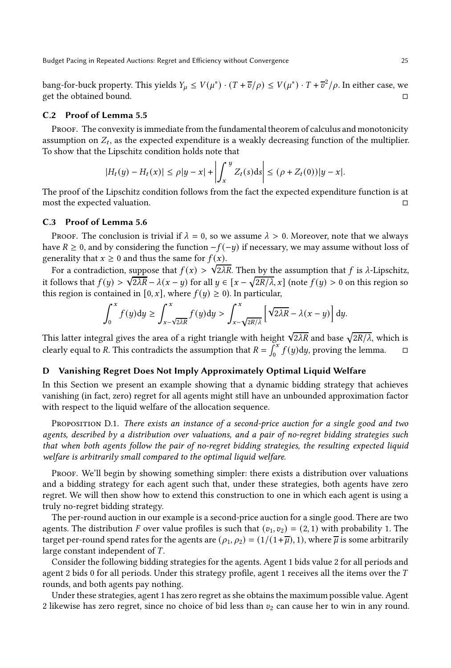bang-for-buck property. This yields  $Y_\mu \le V(\mu^*) \cdot (T + \overline{v}/\rho) \le V(\mu^*) \cdot T + \overline{v}^2/\rho$ . In either case, we get the obtained bound.

#### C.2 Proof of [Lemma 5.5](#page-17-3)

PROOF. The convexity is immediate from the fundamental theorem of calculus and monotonicity assumption on  $Z_t$ , as the expected expenditure is a weakly decreasing function of the multiplier. To show that the Lipschitz condition holds note that

$$
|H_t(y) - H_t(x)| \le \rho |y - x| + \left| \int_x^y Z_t(s) \, ds \right| \le (\rho + Z_t(0)) |y - x|.
$$

The proof of the Lipschitz condition follows from the fact the expected expenditure function is at most the expected valuation.

# C.3 Proof of [Lemma 5.6](#page-17-4)

Proof. The conclusion is trivial if  $\lambda = 0$ , so we assume  $\lambda > 0$ . Moreover, note that we always have  $R \geq 0$ , and by considering the function  $-f(-y)$  if necessary, we may assume without loss of generality that  $x \geq 0$  and thus the same for  $f(x)$ .

For a contradiction, suppose that  $f(x) > \sqrt{2\lambda R}$ . Then by the assumption that f is  $\lambda$ -Lipschitz, it follows that  $f(y) > \sqrt{2\lambda R} - \lambda(x-y)$  for all  $y \in [x - \sqrt{2R/\lambda}, x]$  (note  $f(y) > 0$  on this region so this region is contained in [0,  $x$ ], where  $f(y) \ge 0$ ). In particular,

$$
\int_0^x f(y) dy \ge \int_{x-\sqrt{2\lambda R}}^x f(y) dy > \int_{x-\sqrt{2R/\lambda}}^x \left[ \sqrt{2\lambda R} - \lambda(x-y) \right] dy.
$$

This latter integral gives the area of a right triangle with height  $\sqrt{2\lambda R}$  and base  $\sqrt{2R/\lambda}$ , which is clearly equal to R. This contradicts the assumption that  $R = \int_0^x f(y) dy$ , proving the lemma.  $\square$ 

# <span id="page-25-0"></span>D Vanishing Regret Does Not Imply Approximately Optimal Liquid Welfare

In this Section we present an example showing that a dynamic bidding strategy that achieves vanishing (in fact, zero) regret for all agents might still have an unbounded approximation factor with respect to the liquid welfare of the allocation sequence.

PROPOSITION D.1. There exists an instance of a second-price auction for a single good and two agents, described by a distribution over valuations, and a pair of no-regret bidding strategies such that when both agents follow the pair of no-regret bidding strategies, the resulting expected liquid welfare is arbitrarily small compared to the optimal liquid welfare.

Proof. We'll begin by showing something simpler: there exists a distribution over valuations and a bidding strategy for each agent such that, under these strategies, both agents have zero regret. We will then show how to extend this construction to one in which each agent is using a truly no-regret bidding strategy.

The per-round auction in our example is a second-price auction for a single good. There are two agents. The distribution F over value profiles is such that  $(v_1, v_2) = (2, 1)$  with probability 1. The target per-round spend rates for the agents are  $(\rho_1, \rho_2) = (1/(1+\overline{\mu}), 1)$ , where  $\overline{\mu}$  is some arbitrarily large constant independent of  $T$ .

Consider the following bidding strategies for the agents. Agent 1 bids value 2 for all periods and agent 2 bids 0 for all periods. Under this strategy profile, agent 1 receives all the items over the  $T$ rounds, and both agents pay nothing.

Under these strategies, agent 1 has zero regret as she obtains the maximum possible value. Agent 2 likewise has zero regret, since no choice of bid less than  $v_2$  can cause her to win in any round.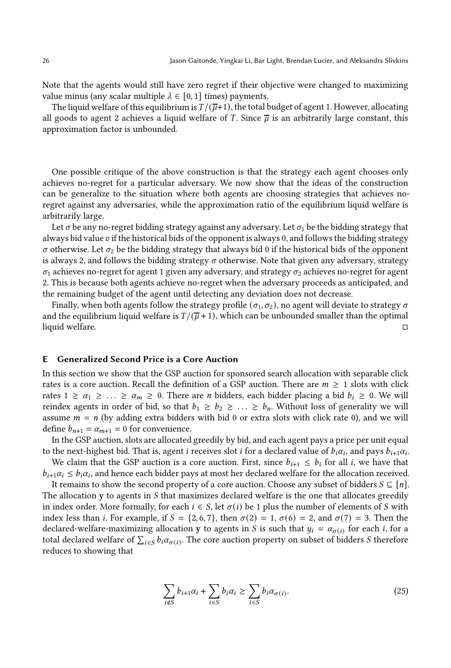Note that the agents would still have zero regret if their objective were changed to maximizing value minus (any scalar multiple  $\lambda \in [0, 1]$  times) payments.

The liquid welfare of this equilibrium is  $T/(\overline{\mu}+1)$ , the total budget of agent 1. However, allocating all goods to agent 2 achieves a liquid welfare of T. Since  $\bar{\mu}$  is an arbitrarily large constant, this approximation factor is unbounded.

One possible critique of the above construction is that the strategy each agent chooses only achieves no-regret for a particular adversary. We now show that the ideas of the construction can be generalize to the situation where both agents are choosing strategies that achieves noregret against any adversaries, while the approximation ratio of the equilibrium liquid welfare is arbitrarily large.

Let  $\sigma$  be any no-regret bidding strategy against any adversary. Let  $\sigma_1$  be the bidding strategy that always bid value v if the historical bids of the opponent is always 0, and follows the bidding strategy  $\sigma$  otherwise. Let  $\sigma_2$  be the bidding strategy that always bid 0 if the historical bids of the opponent is always 2, and follows the bidding strategy  $\sigma$  otherwise. Note that given any adversary, strategy  $\sigma_1$  achieves no-regret for agent 1 given any adversary, and strategy  $\sigma_2$  achieves no-regret for agent 2. This is because both agents achieve no-regret when the adversary proceeds as anticipated, and the remaining budget of the agent until detecting any deviation does not decrease.

Finally, when both agents follow the strategy profile ( $\sigma_1, \sigma_2$ ), no agent will deviate to strategy  $\sigma$ and the equilibrium liquid welfare is  $T/(\overline{\mu} + 1)$ , which can be unbounded smaller than the optimal liquid welfare. liquid welfare.

#### E Generalized Second Price is a Core Auction

<span id="page-26-0"></span>In this section we show that the GSP auction for sponsored search allocation with separable click rates is a core auction. Recall the definition of a GSP auction. There are  $m \geq 1$  slots with click rates  $1 \ge \alpha_1 \ge \ldots \ge \alpha_m \ge 0$ . There are *n* bidders, each bidder placing a bid  $b_i \ge 0$ . We will reindex agents in order of bid, so that  $b_1 \geq b_2 \geq \ldots \geq b_n$ . Without loss of generality we will assume  $m = n$  (by adding extra bidders with bid 0 or extra slots with click rate 0), and we will define  $b_{n+1} = \alpha_{m+1} = 0$  for convenience.

In the GSP auction, slots are allocated greedily by bid, and each agent pays a price per unit equal to the next-highest bid. That is, agent *i* receives slot *i* for a declared value of  $b_i\alpha_i$ , and pays  $b_{i+1}\alpha_i$ .

We claim that the GSP auction is a core auction. First, since  $b_{i+1} \leq b_i$  for all *i*, we have that  $b_{i+1}\alpha_i \leq b_i\alpha_i$ , and hence each bidder pays at most her declared welfare for the allocation received.

It remains to show the second property of a core auction. Choose any subset of bidders  $S \subseteq [n]$ . The allocation  $y$  to agents in  $S$  that maximizes declared welfare is the one that allocates greedily in index order. More formally, for each  $i \in S$ , let  $\sigma(i)$  be 1 plus the number of elements of S with index less than *i*. For example, if  $S = \{2, 6, 7\}$ , then  $\sigma(2) = 1$ ,  $\sigma(6) = 2$ , and  $\sigma(7) = 3$ . Then the declared-welfare-maximizing allocation y to agents in S is such that  $y_i = \alpha_{\sigma(i)}$  for each *i*, for a total declared welfare of  $\sum_{i \in S} b_i \alpha_{\sigma(i)}$ . The core auction property on subset of bidders S therefore reduces to showing that

<span id="page-26-1"></span>
$$
\sum_{i \notin S} b_{i+1} \alpha_i + \sum_{i \in S} b_i \alpha_i \ge \sum_{i \in S} b_i \alpha_{\sigma(i)}.
$$
\n(25)